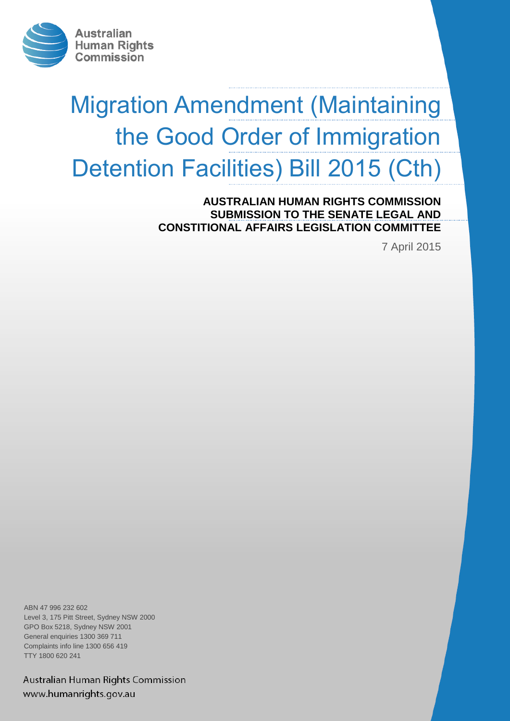

# Migration Amendment (Maintaining the Good Order of Immigration Detention Facilities) Bill 2015 (Cth)

**AUSTRALIAN HUMAN RIGHTS COMMISSION SUBMISSION TO THE SENATE LEGAL AND CONSTITIONAL AFFAIRS LEGISLATION COMMITTEE**

7 April 2015

ABN 47 996 232 602 Level 3, 175 Pitt Street, Sydney NSW 2000 GPO Box 5218, Sydney NSW 2001 General enquiries 1300 369 711 Complaints info line 1300 656 419 TTY 1800 620 241

Australian Human Rights Commission www.humanrights.gov.au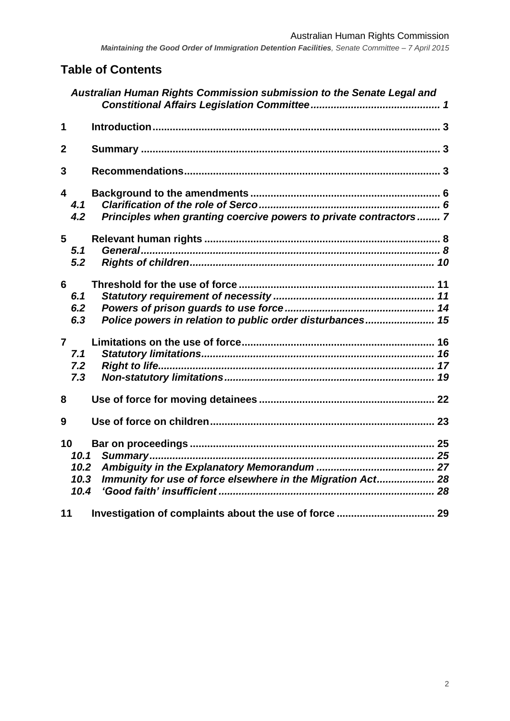# **Table of Contents**

|                 |                              | Australian Human Rights Commission submission to the Senate Legal and |  |
|-----------------|------------------------------|-----------------------------------------------------------------------|--|
| 1               |                              |                                                                       |  |
| $\overline{2}$  |                              |                                                                       |  |
| 3               |                              |                                                                       |  |
| 4               | 4.1<br>4.2                   | Principles when granting coercive powers to private contractors 7     |  |
|                 | $5 -$<br>5.1<br>5.2          |                                                                       |  |
| 6 <sup>1</sup>  | 6.1<br>6.2<br>6.3            | Police powers in relation to public order disturbances 15             |  |
| $\overline{7}$  | 7.1<br>7.2<br>7.3            |                                                                       |  |
| 8               |                              |                                                                       |  |
| 9               |                              |                                                                       |  |
| 10 <sup>°</sup> | 10.1<br>10.2<br>10.3<br>10.4 | Immunity for use of force elsewhere in the Migration Act 28           |  |
| 11              |                              |                                                                       |  |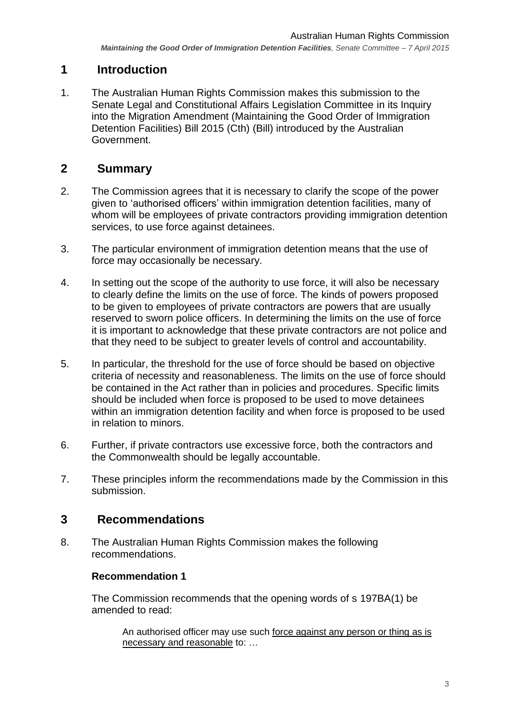# <span id="page-2-0"></span>**1 Introduction**

1. The Australian Human Rights Commission makes this submission to the Senate Legal and Constitutional Affairs Legislation Committee in its Inquiry into the Migration Amendment (Maintaining the Good Order of Immigration Detention Facilities) Bill 2015 (Cth) (Bill) introduced by the Australian Government.

# <span id="page-2-1"></span>**2 Summary**

- 2. The Commission agrees that it is necessary to clarify the scope of the power given to 'authorised officers' within immigration detention facilities, many of whom will be employees of private contractors providing immigration detention services, to use force against detainees.
- 3. The particular environment of immigration detention means that the use of force may occasionally be necessary.
- 4. In setting out the scope of the authority to use force, it will also be necessary to clearly define the limits on the use of force. The kinds of powers proposed to be given to employees of private contractors are powers that are usually reserved to sworn police officers. In determining the limits on the use of force it is important to acknowledge that these private contractors are not police and that they need to be subject to greater levels of control and accountability.
- 5. In particular, the threshold for the use of force should be based on objective criteria of necessity and reasonableness. The limits on the use of force should be contained in the Act rather than in policies and procedures. Specific limits should be included when force is proposed to be used to move detainees within an immigration detention facility and when force is proposed to be used in relation to minors.
- 6. Further, if private contractors use excessive force, both the contractors and the Commonwealth should be legally accountable.
- 7. These principles inform the recommendations made by the Commission in this submission.

## <span id="page-2-2"></span>**3 Recommendations**

8. The Australian Human Rights Commission makes the following recommendations.

#### **Recommendation 1**

The Commission recommends that the opening words of s 197BA(1) be amended to read:

An authorised officer may use such force against any person or thing as is necessary and reasonable to: …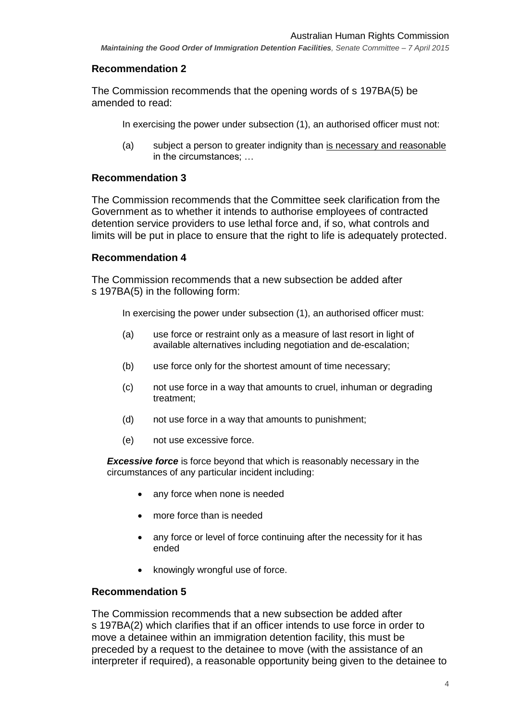#### **Recommendation 2**

The Commission recommends that the opening words of s 197BA(5) be amended to read:

In exercising the power under subsection (1), an authorised officer must not:

(a) subject a person to greater indignity than is necessary and reasonable in the circumstances; …

#### **Recommendation 3**

The Commission recommends that the Committee seek clarification from the Government as to whether it intends to authorise employees of contracted detention service providers to use lethal force and, if so, what controls and limits will be put in place to ensure that the right to life is adequately protected.

#### **Recommendation 4**

The Commission recommends that a new subsection be added after s 197BA(5) in the following form:

In exercising the power under subsection (1), an authorised officer must:

- (a) use force or restraint only as a measure of last resort in light of available alternatives including negotiation and de-escalation;
- (b) use force only for the shortest amount of time necessary;
- (c) not use force in a way that amounts to cruel, inhuman or degrading treatment;
- (d) not use force in a way that amounts to punishment;
- (e) not use excessive force.

*Excessive force* is force beyond that which is reasonably necessary in the circumstances of any particular incident including:

- any force when none is needed
- more force than is needed
- any force or level of force continuing after the necessity for it has ended
- knowingly wrongful use of force.

#### **Recommendation 5**

The Commission recommends that a new subsection be added after s 197BA(2) which clarifies that if an officer intends to use force in order to move a detainee within an immigration detention facility, this must be preceded by a request to the detainee to move (with the assistance of an interpreter if required), a reasonable opportunity being given to the detainee to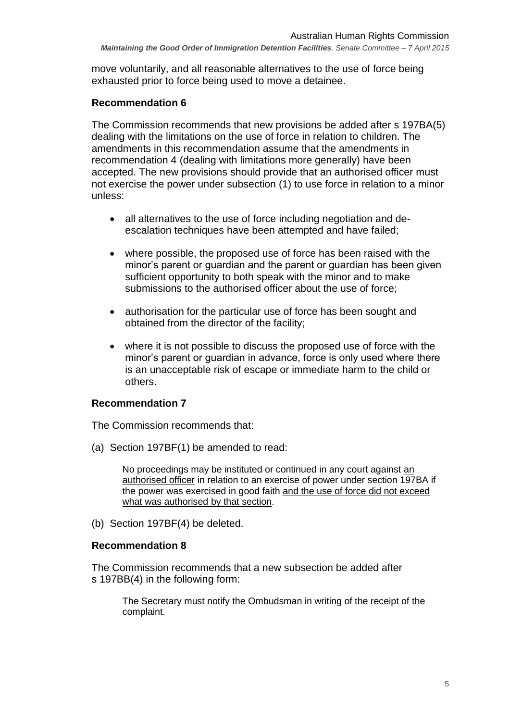move voluntarily, and all reasonable alternatives to the use of force being exhausted prior to force being used to move a detainee.

### **Recommendation 6**

The Commission recommends that new provisions be added after s 197BA(5) dealing with the limitations on the use of force in relation to children. The amendments in this recommendation assume that the amendments in recommendation 4 (dealing with limitations more generally) have been accepted. The new provisions should provide that an authorised officer must not exercise the power under subsection (1) to use force in relation to a minor unless:

- all alternatives to the use of force including negotiation and deescalation techniques have been attempted and have failed;
- where possible, the proposed use of force has been raised with the minor's parent or guardian and the parent or guardian has been given sufficient opportunity to both speak with the minor and to make submissions to the authorised officer about the use of force;
- authorisation for the particular use of force has been sought and obtained from the director of the facility;
- where it is not possible to discuss the proposed use of force with the minor's parent or guardian in advance, force is only used where there is an unacceptable risk of escape or immediate harm to the child or others.

## **Recommendation 7**

The Commission recommends that:

(a) Section 197BF(1) be amended to read:

No proceedings may be instituted or continued in any court against an authorised officer in relation to an exercise of power under section 197BA if the power was exercised in good faith and the use of force did not exceed what was authorised by that section.

(b) Section 197BF(4) be deleted.

#### **Recommendation 8**

The Commission recommends that a new subsection be added after s 197BB(4) in the following form:

The Secretary must notify the Ombudsman in writing of the receipt of the complaint.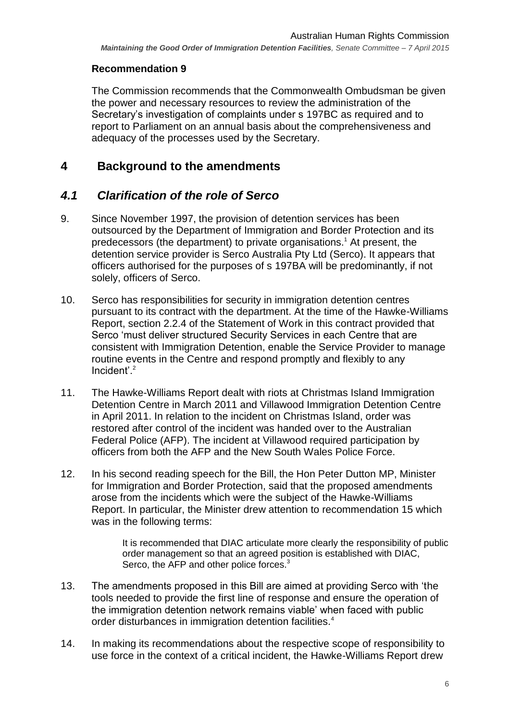### **Recommendation 9**

The Commission recommends that the Commonwealth Ombudsman be given the power and necessary resources to review the administration of the Secretary's investigation of complaints under s 197BC as required and to report to Parliament on an annual basis about the comprehensiveness and adequacy of the processes used by the Secretary.

## <span id="page-5-0"></span>**4 Background to the amendments**

# <span id="page-5-1"></span>*4.1 Clarification of the role of Serco*

- 9. Since November 1997, the provision of detention services has been outsourced by the Department of Immigration and Border Protection and its predecessors (the department) to private organisations.<sup>1</sup> At present, the detention service provider is Serco Australia Pty Ltd (Serco). It appears that officers authorised for the purposes of s 197BA will be predominantly, if not solely, officers of Serco.
- 10. Serco has responsibilities for security in immigration detention centres pursuant to its contract with the department. At the time of the Hawke-Williams Report, section 2.2.4 of the Statement of Work in this contract provided that Serco 'must deliver structured Security Services in each Centre that are consistent with Immigration Detention, enable the Service Provider to manage routine events in the Centre and respond promptly and flexibly to any Incident'.<sup>2</sup>
- 11. The Hawke-Williams Report dealt with riots at Christmas Island Immigration Detention Centre in March 2011 and Villawood Immigration Detention Centre in April 2011. In relation to the incident on Christmas Island, order was restored after control of the incident was handed over to the Australian Federal Police (AFP). The incident at Villawood required participation by officers from both the AFP and the New South Wales Police Force.
- 12. In his second reading speech for the Bill, the Hon Peter Dutton MP, Minister for Immigration and Border Protection, said that the proposed amendments arose from the incidents which were the subject of the Hawke-Williams Report. In particular, the Minister drew attention to recommendation 15 which was in the following terms:

It is recommended that DIAC articulate more clearly the responsibility of public order management so that an agreed position is established with DIAC, Serco, the AFP and other police forces.<sup>3</sup>

- 13. The amendments proposed in this Bill are aimed at providing Serco with 'the tools needed to provide the first line of response and ensure the operation of the immigration detention network remains viable' when faced with public order disturbances in immigration detention facilities.<sup>4</sup>
- 14. In making its recommendations about the respective scope of responsibility to use force in the context of a critical incident, the Hawke-Williams Report drew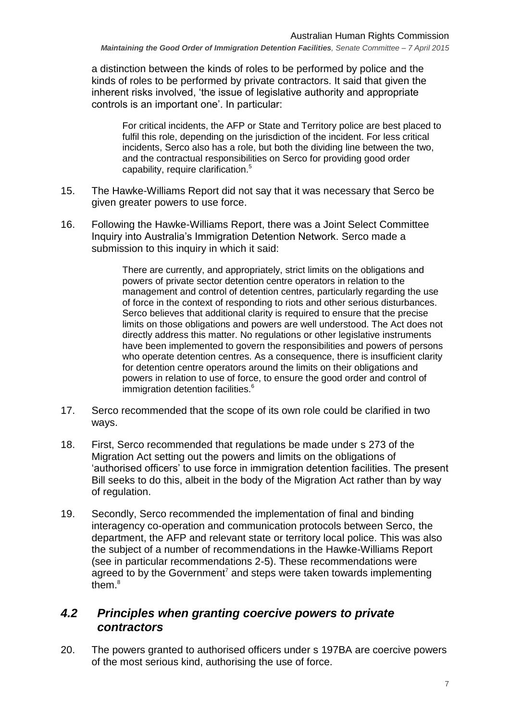a distinction between the kinds of roles to be performed by police and the kinds of roles to be performed by private contractors. It said that given the inherent risks involved, 'the issue of legislative authority and appropriate controls is an important one'. In particular:

For critical incidents, the AFP or State and Territory police are best placed to fulfil this role, depending on the jurisdiction of the incident. For less critical incidents, Serco also has a role, but both the dividing line between the two, and the contractual responsibilities on Serco for providing good order capability, require clarification.<sup>5</sup>

- 15. The Hawke-Williams Report did not say that it was necessary that Serco be given greater powers to use force.
- 16. Following the Hawke-Williams Report, there was a Joint Select Committee Inquiry into Australia's Immigration Detention Network. Serco made a submission to this inquiry in which it said:

There are currently, and appropriately, strict limits on the obligations and powers of private sector detention centre operators in relation to the management and control of detention centres, particularly regarding the use of force in the context of responding to riots and other serious disturbances. Serco believes that additional clarity is required to ensure that the precise limits on those obligations and powers are well understood. The Act does not directly address this matter. No regulations or other legislative instruments have been implemented to govern the responsibilities and powers of persons who operate detention centres. As a consequence, there is insufficient clarity for detention centre operators around the limits on their obligations and powers in relation to use of force, to ensure the good order and control of immigration detention facilities.<sup>6</sup>

- 17. Serco recommended that the scope of its own role could be clarified in two ways.
- 18. First, Serco recommended that regulations be made under s 273 of the Migration Act setting out the powers and limits on the obligations of 'authorised officers' to use force in immigration detention facilities. The present Bill seeks to do this, albeit in the body of the Migration Act rather than by way of regulation.
- 19. Secondly, Serco recommended the implementation of final and binding interagency co-operation and communication protocols between Serco, the department, the AFP and relevant state or territory local police. This was also the subject of a number of recommendations in the Hawke-Williams Report (see in particular recommendations 2-5). These recommendations were agreed to by the Government<sup>7</sup> and steps were taken towards implementing them.<sup>8</sup>

## <span id="page-6-0"></span>*4.2 Principles when granting coercive powers to private contractors*

20. The powers granted to authorised officers under s 197BA are coercive powers of the most serious kind, authorising the use of force.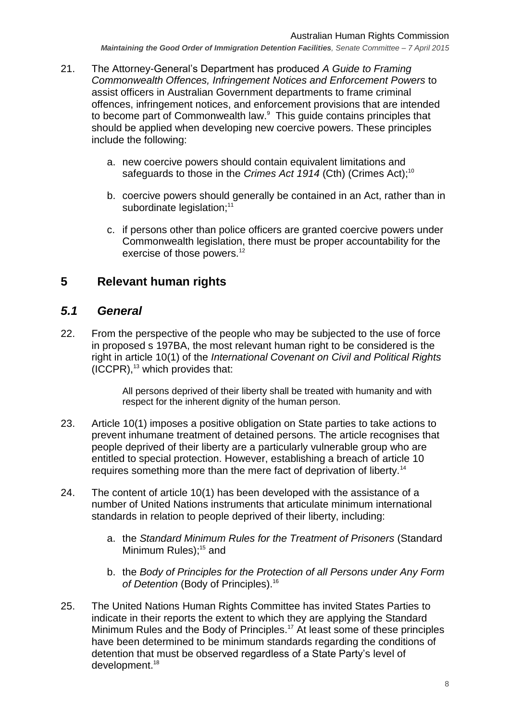- 21. The Attorney-General's Department has produced *A Guide to Framing Commonwealth Offences, Infringement Notices and Enforcement Powers* to assist officers in Australian Government departments to frame criminal offences, infringement notices, and enforcement provisions that are intended to become part of Commonwealth law. 9 This guide contains principles that should be applied when developing new coercive powers. These principles include the following:
	- a. new coercive powers should contain equivalent limitations and safeguards to those in the *Crimes Act 1914* (Cth) (Crimes Act);<sup>10</sup>
	- b. coercive powers should generally be contained in an Act, rather than in subordinate legislation;<sup>11</sup>
	- c. if persons other than police officers are granted coercive powers under Commonwealth legislation, there must be proper accountability for the exercise of those powers.<sup>12</sup>

# <span id="page-7-0"></span>**5 Relevant human rights**

## <span id="page-7-1"></span>*5.1 General*

22. From the perspective of the people who may be subjected to the use of force in proposed s 197BA, the most relevant human right to be considered is the right in article 10(1) of the *International Covenant on Civil and Political Rights*  $(ICCPR)$ ,<sup>13</sup> which provides that:

> All persons deprived of their liberty shall be treated with humanity and with respect for the inherent dignity of the human person.

- 23. Article 10(1) imposes a positive obligation on State parties to take actions to prevent inhumane treatment of detained persons. The article recognises that people deprived of their liberty are a particularly vulnerable group who are entitled to special protection. However, establishing a breach of article 10 requires something more than the mere fact of deprivation of liberty.<sup>14</sup>
- 24. The content of article 10(1) has been developed with the assistance of a number of United Nations instruments that articulate minimum international standards in relation to people deprived of their liberty, including:
	- a. the *Standard Minimum Rules for the Treatment of Prisoners* (Standard Minimum Rules);<sup>15</sup> and
	- b. the *Body of Principles for the Protection of all Persons under Any Form of Detention* (Body of Principles). 16
- 25. The United Nations Human Rights Committee has invited States Parties to indicate in their reports the extent to which they are applying the Standard Minimum Rules and the Body of Principles.<sup>17</sup> At least some of these principles have been determined to be minimum standards regarding the conditions of detention that must be observed regardless of a State Party's level of development. 18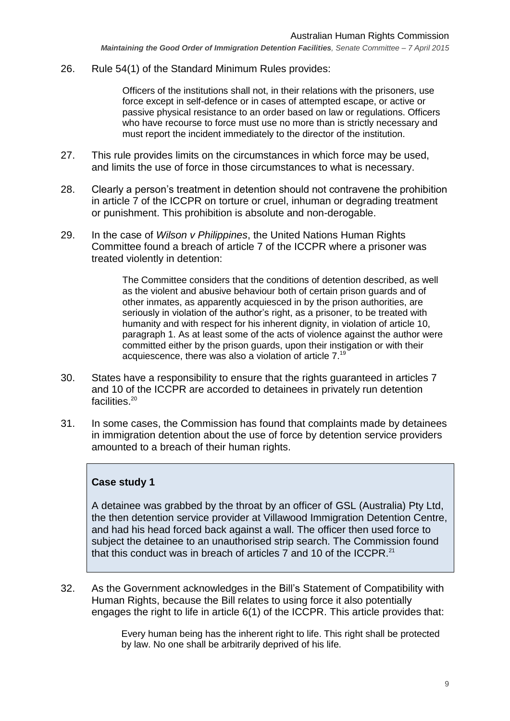26. Rule 54(1) of the Standard Minimum Rules provides:

Officers of the institutions shall not, in their relations with the prisoners, use force except in self-defence or in cases of attempted escape, or active or passive physical resistance to an order based on law or regulations. Officers who have recourse to force must use no more than is strictly necessary and must report the incident immediately to the director of the institution.

- 27. This rule provides limits on the circumstances in which force may be used, and limits the use of force in those circumstances to what is necessary.
- 28. Clearly a person's treatment in detention should not contravene the prohibition in article 7 of the ICCPR on torture or cruel, inhuman or degrading treatment or punishment. This prohibition is absolute and non-derogable.
- 29. In the case of *Wilson v Philippines*, the United Nations Human Rights Committee found a breach of article 7 of the ICCPR where a prisoner was treated violently in detention:

The Committee considers that the conditions of detention described, as well as the violent and abusive behaviour both of certain prison guards and of other inmates, as apparently acquiesced in by the prison authorities, are seriously in violation of the author's right, as a prisoner, to be treated with humanity and with respect for his inherent dignity, in violation of article 10, paragraph 1. As at least some of the acts of violence against the author were committed either by the prison guards, upon their instigation or with their acquiescence, there was also a violation of article 7.<sup>19</sup>

- 30. States have a responsibility to ensure that the rights guaranteed in articles 7 and 10 of the ICCPR are accorded to detainees in privately run detention facilities.<sup>20</sup>
- 31. In some cases, the Commission has found that complaints made by detainees in immigration detention about the use of force by detention service providers amounted to a breach of their human rights.

#### **Case study 1**

A detainee was grabbed by the throat by an officer of GSL (Australia) Pty Ltd, the then detention service provider at Villawood Immigration Detention Centre, and had his head forced back against a wall. The officer then used force to subject the detainee to an unauthorised strip search. The Commission found that this conduct was in breach of articles 7 and 10 of the ICCPR.<sup>21</sup>

32. As the Government acknowledges in the Bill's Statement of Compatibility with Human Rights, because the Bill relates to using force it also potentially engages the right to life in article 6(1) of the ICCPR. This article provides that:

> Every human being has the inherent right to life. This right shall be protected by law. No one shall be arbitrarily deprived of his life.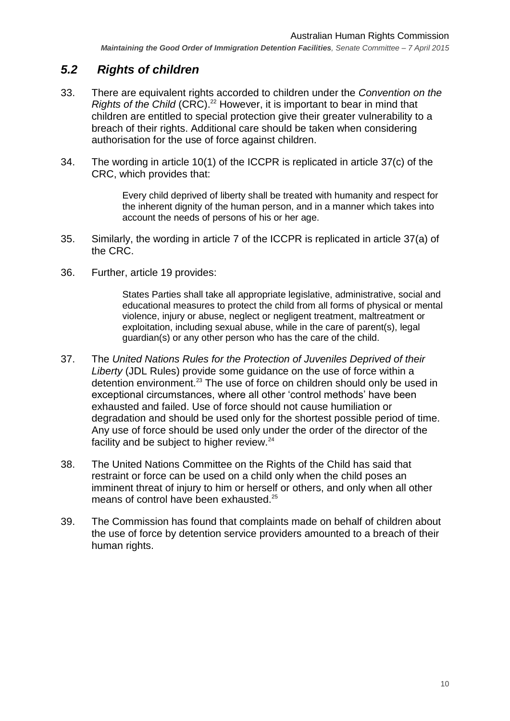# <span id="page-9-0"></span>*5.2 Rights of children*

- 33. There are equivalent rights accorded to children under the *Convention on the Rights of the Child* (CRC).<sup>22</sup> However, it is important to bear in mind that children are entitled to special protection give their greater vulnerability to a breach of their rights. Additional care should be taken when considering authorisation for the use of force against children.
- 34. The wording in article 10(1) of the ICCPR is replicated in article 37(c) of the CRC, which provides that:

Every child deprived of liberty shall be treated with humanity and respect for the inherent dignity of the human person, and in a manner which takes into account the needs of persons of his or her age.

- 35. Similarly, the wording in article 7 of the ICCPR is replicated in article 37(a) of the CRC.
- 36. Further, article 19 provides:

States Parties shall take all appropriate legislative, administrative, social and educational measures to protect the child from all forms of physical or mental violence, injury or abuse, neglect or negligent treatment, maltreatment or exploitation, including sexual abuse, while in the care of parent(s), legal guardian(s) or any other person who has the care of the child.

- 37. The *United Nations Rules for the Protection of Juveniles Deprived of their Liberty* (JDL Rules) provide some guidance on the use of force within a detention environment.<sup>23</sup> The use of force on children should only be used in exceptional circumstances, where all other 'control methods' have been exhausted and failed. Use of force should not cause humiliation or degradation and should be used only for the shortest possible period of time. Any use of force should be used only under the order of the director of the facility and be subject to higher review.<sup>24</sup>
- 38. The United Nations Committee on the Rights of the Child has said that restraint or force can be used on a child only when the child poses an imminent threat of injury to him or herself or others, and only when all other means of control have been exhausted.<sup>25</sup>
- 39. The Commission has found that complaints made on behalf of children about the use of force by detention service providers amounted to a breach of their human rights.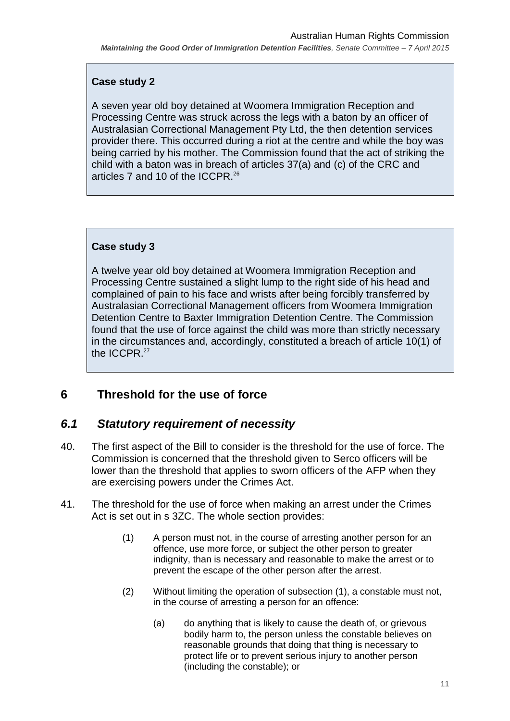## **Case study 2**

A seven year old boy detained at Woomera Immigration Reception and Processing Centre was struck across the legs with a baton by an officer of Australasian Correctional Management Pty Ltd, the then detention services provider there. This occurred during a riot at the centre and while the boy was being carried by his mother. The Commission found that the act of striking the child with a baton was in breach of articles 37(a) and (c) of the CRC and articles 7 and 10 of the ICCPR. 26

## **Case study 3**

A twelve year old boy detained at Woomera Immigration Reception and Processing Centre sustained a slight lump to the right side of his head and complained of pain to his face and wrists after being forcibly transferred by Australasian Correctional Management officers from Woomera Immigration Detention Centre to Baxter Immigration Detention Centre. The Commission found that the use of force against the child was more than strictly necessary in the circumstances and, accordingly, constituted a breach of article 10(1) of the ICCPR. 27

# <span id="page-10-0"></span>**6 Threshold for the use of force**

# <span id="page-10-1"></span>*6.1 Statutory requirement of necessity*

- 40. The first aspect of the Bill to consider is the threshold for the use of force. The Commission is concerned that the threshold given to Serco officers will be lower than the threshold that applies to sworn officers of the AFP when they are exercising powers under the Crimes Act.
- <span id="page-10-2"></span>41. The threshold for the use of force when making an arrest under the Crimes Act is set out in s 3ZC. The whole section provides:
	- (1) A person must not, in the course of arresting another person for an offence, use more force, or subject the other person to greater indignity, than is necessary and reasonable to make the arrest or to prevent the escape of the other person after the arrest.
	- (2) Without limiting the operation of subsection (1), a constable must not, in the course of arresting a person for an offence:
		- (a) do anything that is likely to cause the death of, or grievous bodily harm to, the person unless the constable believes on reasonable grounds that doing that thing is necessary to protect life or to prevent serious injury to another person (including the constable); or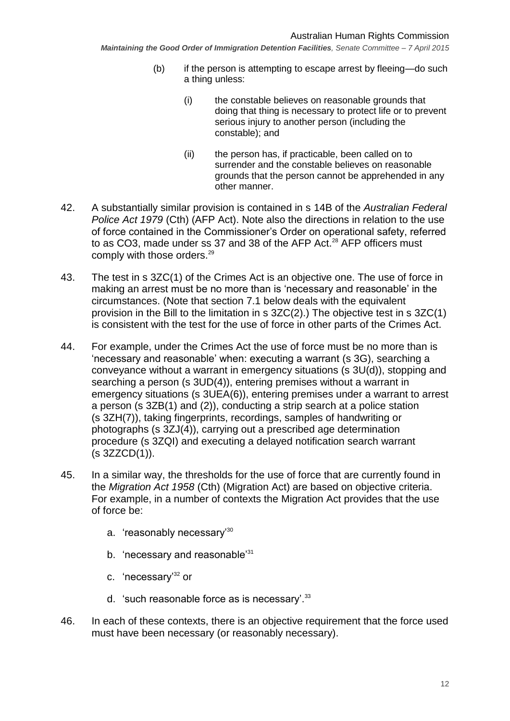- (b) if the person is attempting to escape arrest by fleeing—do such a thing unless:
	- (i) the constable believes on reasonable grounds that doing that thing is necessary to protect life or to prevent serious injury to another person (including the constable); and
	- (ii) the person has, if practicable, been called on to surrender and the constable believes on reasonable grounds that the person cannot be apprehended in any other manner.
- 42. A substantially similar provision is contained in s 14B of the *Australian Federal Police Act 1979* (Cth) (AFP Act). Note also the directions in relation to the use of force contained in the Commissioner's Order on operational safety, referred to as CO3, made under ss 37 and 38 of the AFP Act.<sup>28</sup> AFP officers must comply with those orders.<sup>29</sup>
- 43. The test in s 3ZC(1) of the Crimes Act is an objective one. The use of force in making an arrest must be no more than is 'necessary and reasonable' in the circumstances. (Note that section [7.1](#page-15-1) below deals with the equivalent provision in the Bill to the limitation in s 3ZC(2).) The objective test in s 3ZC(1) is consistent with the test for the use of force in other parts of the Crimes Act.
- 44. For example, under the Crimes Act the use of force must be no more than is 'necessary and reasonable' when: executing a warrant (s 3G), searching a conveyance without a warrant in emergency situations (s 3U(d)), stopping and searching a person (s 3UD(4)), entering premises without a warrant in emergency situations (s 3UEA(6)), entering premises under a warrant to arrest a person (s 3ZB(1) and (2)), conducting a strip search at a police station (s 3ZH(7)), taking fingerprints, recordings, samples of handwriting or photographs (s 3ZJ(4)), carrying out a prescribed age determination procedure (s 3ZQI) and executing a delayed notification search warrant (s 3ZZCD(1)).
- 45. In a similar way, the thresholds for the use of force that are currently found in the *Migration Act 1958* (Cth) (Migration Act) are based on objective criteria. For example, in a number of contexts the Migration Act provides that the use of force be:
	- a. 'reasonably necessary'<sup>30</sup>
	- b. 'necessary and reasonable<sup>'31</sup>
	- c. 'necessary'<sup>32</sup> or
	- d. 'such reasonable force as is necessary'.<sup>33</sup>
- 46. In each of these contexts, there is an objective requirement that the force used must have been necessary (or reasonably necessary).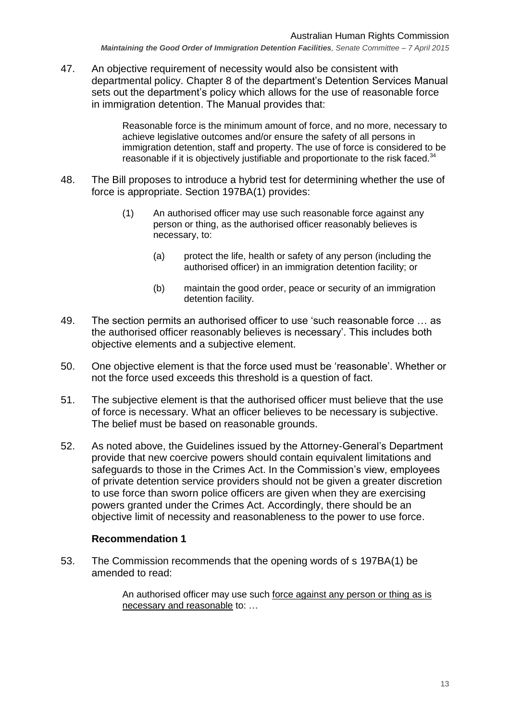47. An objective requirement of necessity would also be consistent with departmental policy. Chapter 8 of the department's Detention Services Manual sets out the department's policy which allows for the use of reasonable force in immigration detention. The Manual provides that:

> Reasonable force is the minimum amount of force, and no more, necessary to achieve legislative outcomes and/or ensure the safety of all persons in immigration detention, staff and property. The use of force is considered to be reasonable if it is objectively justifiable and proportionate to the risk faced. $34$

- 48. The Bill proposes to introduce a hybrid test for determining whether the use of force is appropriate. Section 197BA(1) provides:
	- (1) An authorised officer may use such reasonable force against any person or thing, as the authorised officer reasonably believes is necessary, to:
		- (a) protect the life, health or safety of any person (including the authorised officer) in an immigration detention facility; or
		- (b) maintain the good order, peace or security of an immigration detention facility.
- 49. The section permits an authorised officer to use 'such reasonable force … as the authorised officer reasonably believes is necessary'. This includes both objective elements and a subjective element.
- 50. One objective element is that the force used must be 'reasonable'. Whether or not the force used exceeds this threshold is a question of fact.
- 51. The subjective element is that the authorised officer must believe that the use of force is necessary. What an officer believes to be necessary is subjective. The belief must be based on reasonable grounds.
- 52. As noted above, the Guidelines issued by the Attorney-General's Department provide that new coercive powers should contain equivalent limitations and safeguards to those in the Crimes Act. In the Commission's view, employees of private detention service providers should not be given a greater discretion to use force than sworn police officers are given when they are exercising powers granted under the Crimes Act. Accordingly, there should be an objective limit of necessity and reasonableness to the power to use force.

#### **Recommendation 1**

53. The Commission recommends that the opening words of s 197BA(1) be amended to read:

> An authorised officer may use such force against any person or thing as is necessary and reasonable to: …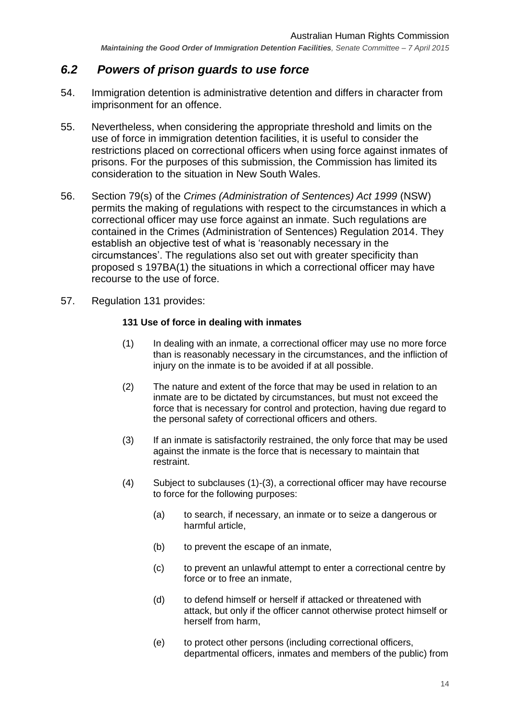## <span id="page-13-0"></span>*6.2 Powers of prison guards to use force*

- 54. Immigration detention is administrative detention and differs in character from imprisonment for an offence.
- 55. Nevertheless, when considering the appropriate threshold and limits on the use of force in immigration detention facilities, it is useful to consider the restrictions placed on correctional officers when using force against inmates of prisons. For the purposes of this submission, the Commission has limited its consideration to the situation in New South Wales.
- 56. Section 79(s) of the *Crimes (Administration of Sentences) Act 1999* (NSW) permits the making of regulations with respect to the circumstances in which a correctional officer may use force against an inmate. Such regulations are contained in the Crimes (Administration of Sentences) Regulation 2014. They establish an objective test of what is 'reasonably necessary in the circumstances'. The regulations also set out with greater specificity than proposed s 197BA(1) the situations in which a correctional officer may have recourse to the use of force.
- 57. Regulation 131 provides:

#### **131 Use of force in dealing with inmates**

- (1) In dealing with an inmate, a correctional officer may use no more force than is reasonably necessary in the circumstances, and the infliction of injury on the inmate is to be avoided if at all possible.
- (2) The nature and extent of the force that may be used in relation to an inmate are to be dictated by circumstances, but must not exceed the force that is necessary for control and protection, having due regard to the personal safety of correctional officers and others.
- (3) If an inmate is satisfactorily restrained, the only force that may be used against the inmate is the force that is necessary to maintain that restraint.
- (4) Subject to subclauses (1)-(3), a correctional officer may have recourse to force for the following purposes:
	- (a) to search, if necessary, an inmate or to seize a dangerous or harmful article,
	- (b) to prevent the escape of an inmate,
	- (c) to prevent an unlawful attempt to enter a correctional centre by force or to free an inmate,
	- (d) to defend himself or herself if attacked or threatened with attack, but only if the officer cannot otherwise protect himself or herself from harm,
	- (e) to protect other persons (including correctional officers, departmental officers, inmates and members of the public) from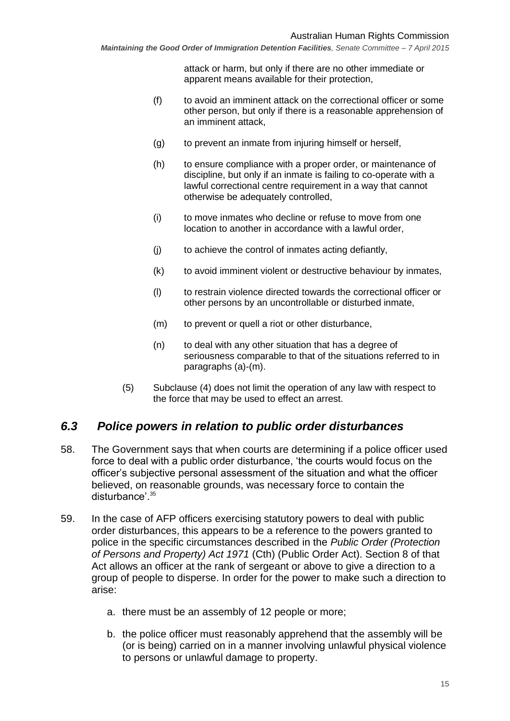attack or harm, but only if there are no other immediate or apparent means available for their protection,

- (f) to avoid an imminent attack on the correctional officer or some other person, but only if there is a reasonable apprehension of an imminent attack,
- (g) to prevent an inmate from injuring himself or herself,
- (h) to ensure compliance with a proper order, or maintenance of discipline, but only if an inmate is failing to co-operate with a lawful correctional centre requirement in a way that cannot otherwise be adequately controlled,
- (i) to move inmates who decline or refuse to move from one location to another in accordance with a lawful order,
- (j) to achieve the control of inmates acting defiantly,
- (k) to avoid imminent violent or destructive behaviour by inmates,
- (l) to restrain violence directed towards the correctional officer or other persons by an uncontrollable or disturbed inmate,
- (m) to prevent or quell a riot or other disturbance,
- (n) to deal with any other situation that has a degree of seriousness comparable to that of the situations referred to in paragraphs (a)-(m).
- (5) Subclause (4) does not limit the operation of any law with respect to the force that may be used to effect an arrest.

## <span id="page-14-0"></span>*6.3 Police powers in relation to public order disturbances*

- 58. The Government says that when courts are determining if a police officer used force to deal with a public order disturbance, 'the courts would focus on the officer's subjective personal assessment of the situation and what the officer believed, on reasonable grounds, was necessary force to contain the disturbance'.<sup>35</sup>
- 59. In the case of AFP officers exercising statutory powers to deal with public order disturbances, this appears to be a reference to the powers granted to police in the specific circumstances described in the *Public Order (Protection of Persons and Property) Act 1971* (Cth) (Public Order Act). Section 8 of that Act allows an officer at the rank of sergeant or above to give a direction to a group of people to disperse. In order for the power to make such a direction to arise:
	- a. there must be an assembly of 12 people or more;
	- b. the police officer must reasonably apprehend that the assembly will be (or is being) carried on in a manner involving unlawful physical violence to persons or unlawful damage to property.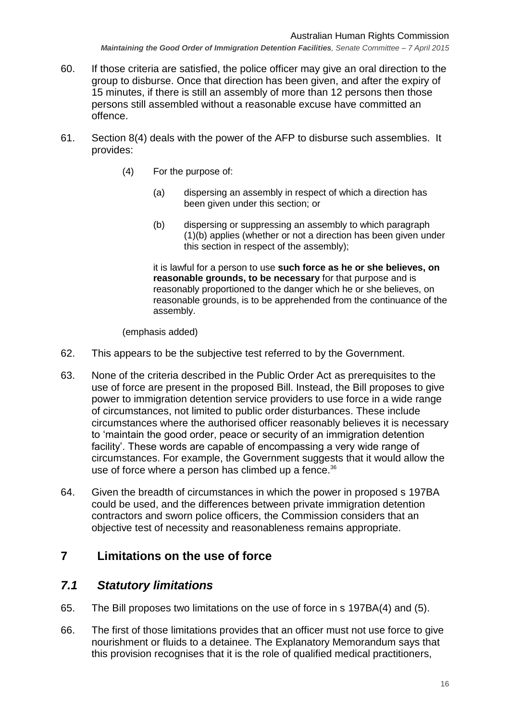- 60. If those criteria are satisfied, the police officer may give an oral direction to the group to disburse. Once that direction has been given, and after the expiry of 15 minutes, if there is still an assembly of more than 12 persons then those persons still assembled without a reasonable excuse have committed an offence.
- 61. Section 8(4) deals with the power of the AFP to disburse such assemblies. It provides:
	- (4) For the purpose of:
		- (a) dispersing an assembly in respect of which a direction has been given under this section; or
		- (b) dispersing or suppressing an assembly to which paragraph (1)(b) applies (whether or not a direction has been given under this section in respect of the assembly);

it is lawful for a person to use **such force as he or she believes, on reasonable grounds, to be necessary** for that purpose and is reasonably proportioned to the danger which he or she believes, on reasonable grounds, is to be apprehended from the continuance of the assembly.

(emphasis added)

- 62. This appears to be the subjective test referred to by the Government.
- 63. None of the criteria described in the Public Order Act as prerequisites to the use of force are present in the proposed Bill. Instead, the Bill proposes to give power to immigration detention service providers to use force in a wide range of circumstances, not limited to public order disturbances. These include circumstances where the authorised officer reasonably believes it is necessary to 'maintain the good order, peace or security of an immigration detention facility'. These words are capable of encompassing a very wide range of circumstances. For example, the Government suggests that it would allow the use of force where a person has climbed up a fence.<sup>36</sup>
- 64. Given the breadth of circumstances in which the power in proposed s 197BA could be used, and the differences between private immigration detention contractors and sworn police officers, the Commission considers that an objective test of necessity and reasonableness remains appropriate.

## <span id="page-15-0"></span>**7 Limitations on the use of force**

## <span id="page-15-1"></span>*7.1 Statutory limitations*

- 65. The Bill proposes two limitations on the use of force in s 197BA(4) and (5).
- 66. The first of those limitations provides that an officer must not use force to give nourishment or fluids to a detainee. The Explanatory Memorandum says that this provision recognises that it is the role of qualified medical practitioners,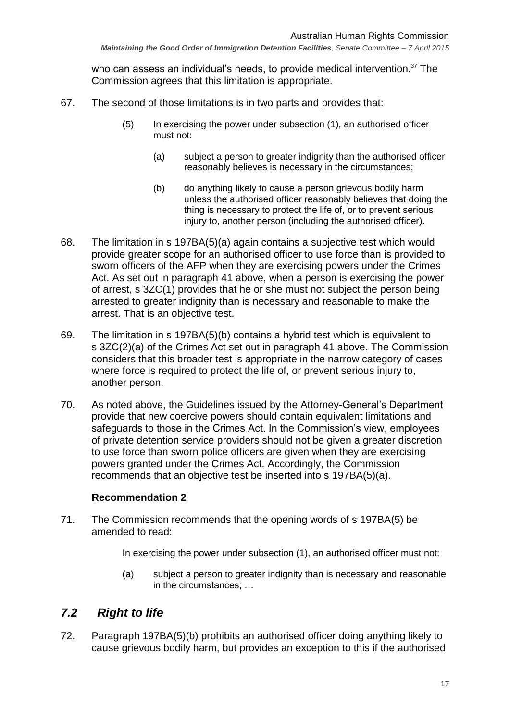who can assess an individual's needs, to provide medical intervention.<sup>37</sup> The Commission agrees that this limitation is appropriate.

- 67. The second of those limitations is in two parts and provides that:
	- (5) In exercising the power under subsection (1), an authorised officer must not:
		- (a) subject a person to greater indignity than the authorised officer reasonably believes is necessary in the circumstances;
		- (b) do anything likely to cause a person grievous bodily harm unless the authorised officer reasonably believes that doing the thing is necessary to protect the life of, or to prevent serious injury to, another person (including the authorised officer).
- 68. The limitation in s 197BA(5)(a) again contains a subjective test which would provide greater scope for an authorised officer to use force than is provided to sworn officers of the AFP when they are exercising powers under the Crimes Act. As set out in paragraph [41](#page-10-2) above, when a person is exercising the power of arrest, s 3ZC(1) provides that he or she must not subject the person being arrested to greater indignity than is necessary and reasonable to make the arrest. That is an objective test.
- 69. The limitation in s 197BA(5)(b) contains a hybrid test which is equivalent to s 3ZC(2)(a) of the Crimes Act set out in paragraph [41](#page-10-2) above. The Commission considers that this broader test is appropriate in the narrow category of cases where force is required to protect the life of, or prevent serious injury to, another person.
- 70. As noted above, the Guidelines issued by the Attorney-General's Department provide that new coercive powers should contain equivalent limitations and safeguards to those in the Crimes Act. In the Commission's view, employees of private detention service providers should not be given a greater discretion to use force than sworn police officers are given when they are exercising powers granted under the Crimes Act. Accordingly, the Commission recommends that an objective test be inserted into s 197BA(5)(a).

#### **Recommendation 2**

71. The Commission recommends that the opening words of s 197BA(5) be amended to read:

In exercising the power under subsection (1), an authorised officer must not:

(a) subject a person to greater indignity than is necessary and reasonable in the circumstances; …

# <span id="page-16-0"></span>*7.2 Right to life*

72. Paragraph 197BA(5)(b) prohibits an authorised officer doing anything likely to cause grievous bodily harm, but provides an exception to this if the authorised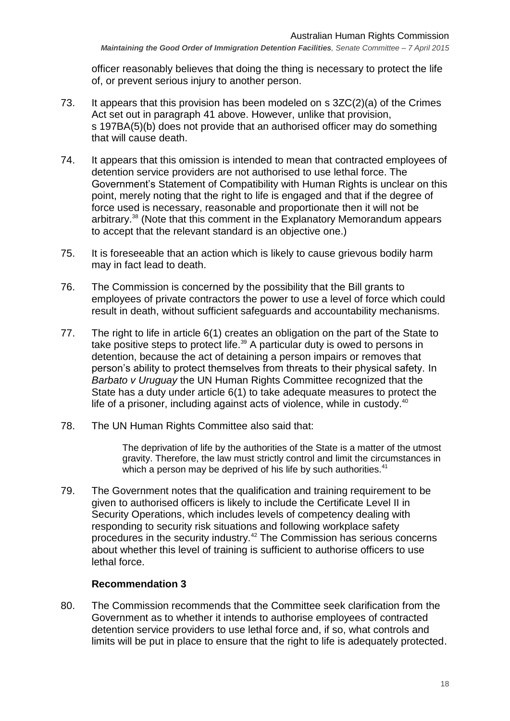officer reasonably believes that doing the thing is necessary to protect the life of, or prevent serious injury to another person.

- 73. It appears that this provision has been modeled on s 3ZC(2)(a) of the Crimes Act set out in paragraph [41](#page-10-2) above. However, unlike that provision, s 197BA(5)(b) does not provide that an authorised officer may do something that will cause death.
- 74. It appears that this omission is intended to mean that contracted employees of detention service providers are not authorised to use lethal force. The Government's Statement of Compatibility with Human Rights is unclear on this point, merely noting that the right to life is engaged and that if the degree of force used is necessary, reasonable and proportionate then it will not be arbitrary. <sup>38</sup> (Note that this comment in the Explanatory Memorandum appears to accept that the relevant standard is an objective one.)
- 75. It is foreseeable that an action which is likely to cause grievous bodily harm may in fact lead to death.
- 76. The Commission is concerned by the possibility that the Bill grants to employees of private contractors the power to use a level of force which could result in death, without sufficient safeguards and accountability mechanisms.
- 77. The right to life in article 6(1) creates an obligation on the part of the State to take positive steps to protect life.<sup>39</sup> A particular duty is owed to persons in detention, because the act of detaining a person impairs or removes that person's ability to protect themselves from threats to their physical safety. In *Barbato v Uruguay* the UN Human Rights Committee recognized that the State has a duty under article 6(1) to take adequate measures to protect the life of a prisoner, including against acts of violence, while in custody.<sup>40</sup>
- 78. The UN Human Rights Committee also said that:

The deprivation of life by the authorities of the State is a matter of the utmost gravity. Therefore, the law must strictly control and limit the circumstances in which a person may be deprived of his life by such authorities. $41$ 

79. The Government notes that the qualification and training requirement to be given to authorised officers is likely to include the Certificate Level II in Security Operations, which includes levels of competency dealing with responding to security risk situations and following workplace safety procedures in the security industry.<sup>42</sup> The Commission has serious concerns about whether this level of training is sufficient to authorise officers to use lethal force.

## **Recommendation 3**

80. The Commission recommends that the Committee seek clarification from the Government as to whether it intends to authorise employees of contracted detention service providers to use lethal force and, if so, what controls and limits will be put in place to ensure that the right to life is adequately protected.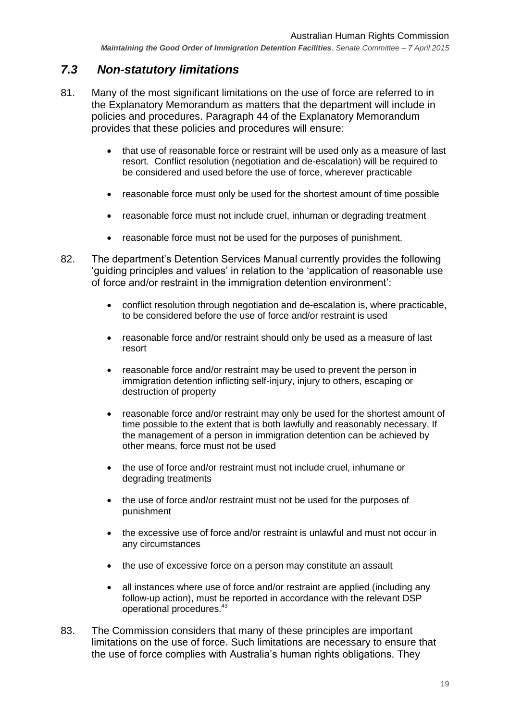## <span id="page-18-0"></span>*7.3 Non-statutory limitations*

- 81. Many of the most significant limitations on the use of force are referred to in the Explanatory Memorandum as matters that the department will include in policies and procedures. Paragraph 44 of the Explanatory Memorandum provides that these policies and procedures will ensure:
	- that use of reasonable force or restraint will be used only as a measure of last resort. Conflict resolution (negotiation and de-escalation) will be required to be considered and used before the use of force, wherever practicable
	- reasonable force must only be used for the shortest amount of time possible
	- reasonable force must not include cruel, inhuman or degrading treatment
	- reasonable force must not be used for the purposes of punishment.
- 82. The department's Detention Services Manual currently provides the following 'guiding principles and values' in relation to the 'application of reasonable use of force and/or restraint in the immigration detention environment':
	- conflict resolution through negotiation and de-escalation is, where practicable, to be considered before the use of force and/or restraint is used
	- reasonable force and/or restraint should only be used as a measure of last resort
	- reasonable force and/or restraint may be used to prevent the person in immigration detention inflicting self-injury, injury to others, escaping or destruction of property
	- reasonable force and/or restraint may only be used for the shortest amount of time possible to the extent that is both lawfully and reasonably necessary. If the management of a person in immigration detention can be achieved by other means, force must not be used
	- the use of force and/or restraint must not include cruel, inhumane or degrading treatments
	- the use of force and/or restraint must not be used for the purposes of punishment
	- the excessive use of force and/or restraint is unlawful and must not occur in any circumstances
	- the use of excessive force on a person may constitute an assault
	- all instances where use of force and/or restraint are applied (including any follow-up action), must be reported in accordance with the relevant DSP operational procedures.<sup>43</sup>
- 83. The Commission considers that many of these principles are important limitations on the use of force. Such limitations are necessary to ensure that the use of force complies with Australia's human rights obligations. They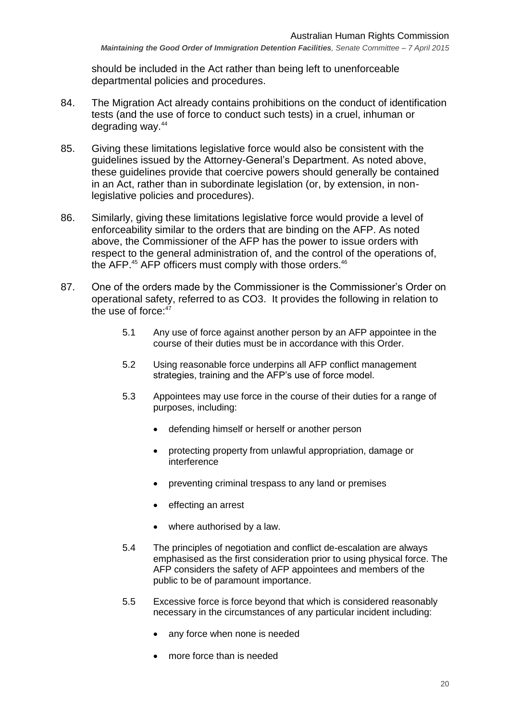should be included in the Act rather than being left to unenforceable departmental policies and procedures.

- 84. The Migration Act already contains prohibitions on the conduct of identification tests (and the use of force to conduct such tests) in a cruel, inhuman or degrading way.<sup>44</sup>
- 85. Giving these limitations legislative force would also be consistent with the guidelines issued by the Attorney-General's Department. As noted above, these guidelines provide that coercive powers should generally be contained in an Act, rather than in subordinate legislation (or, by extension, in nonlegislative policies and procedures).
- 86. Similarly, giving these limitations legislative force would provide a level of enforceability similar to the orders that are binding on the AFP. As noted above, the Commissioner of the AFP has the power to issue orders with respect to the general administration of, and the control of the operations of, the AFP. $45$  AFP officers must comply with those orders.  $46$
- 87. One of the orders made by the Commissioner is the Commissioner's Order on operational safety, referred to as CO3. It provides the following in relation to the use of force: $47$ 
	- 5.1 Any use of force against another person by an AFP appointee in the course of their duties must be in accordance with this Order.
	- 5.2 Using reasonable force underpins all AFP conflict management strategies, training and the AFP's use of force model.
	- 5.3 Appointees may use force in the course of their duties for a range of purposes, including:
		- defending himself or herself or another person
		- protecting property from unlawful appropriation, damage or interference
		- preventing criminal trespass to any land or premises
		- effecting an arrest
		- where authorised by a law.
	- 5.4 The principles of negotiation and conflict de-escalation are always emphasised as the first consideration prior to using physical force. The AFP considers the safety of AFP appointees and members of the public to be of paramount importance.
	- 5.5 Excessive force is force beyond that which is considered reasonably necessary in the circumstances of any particular incident including:
		- any force when none is needed
		- more force than is needed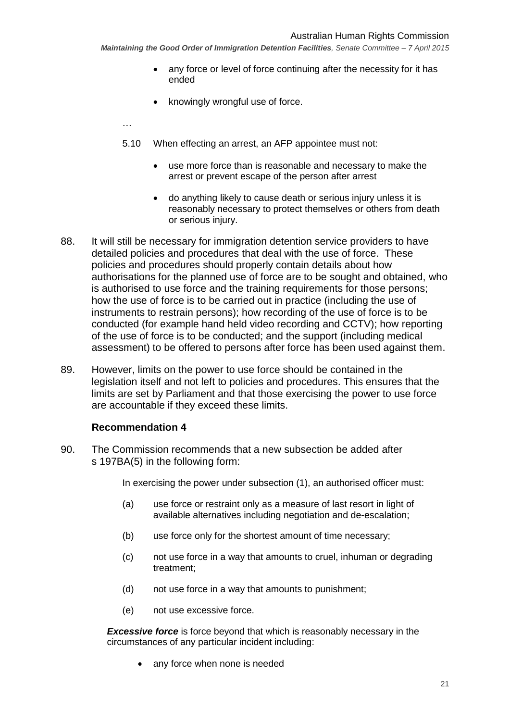- any force or level of force continuing after the necessity for it has ended
- knowingly wrongful use of force.
- …
- 5.10 When effecting an arrest, an AFP appointee must not:
	- use more force than is reasonable and necessary to make the arrest or prevent escape of the person after arrest
	- do anything likely to cause death or serious injury unless it is reasonably necessary to protect themselves or others from death or serious injury.
- 88. It will still be necessary for immigration detention service providers to have detailed policies and procedures that deal with the use of force. These policies and procedures should properly contain details about how authorisations for the planned use of force are to be sought and obtained, who is authorised to use force and the training requirements for those persons; how the use of force is to be carried out in practice (including the use of instruments to restrain persons); how recording of the use of force is to be conducted (for example hand held video recording and CCTV); how reporting of the use of force is to be conducted; and the support (including medical assessment) to be offered to persons after force has been used against them.
- 89. However, limits on the power to use force should be contained in the legislation itself and not left to policies and procedures. This ensures that the limits are set by Parliament and that those exercising the power to use force are accountable if they exceed these limits.

#### **Recommendation 4**

90. The Commission recommends that a new subsection be added after s 197BA(5) in the following form:

In exercising the power under subsection (1), an authorised officer must:

- (a) use force or restraint only as a measure of last resort in light of available alternatives including negotiation and de-escalation;
- (b) use force only for the shortest amount of time necessary;
- (c) not use force in a way that amounts to cruel, inhuman or degrading treatment;
- (d) not use force in a way that amounts to punishment;
- (e) not use excessive force.

**Excessive force** is force beyond that which is reasonably necessary in the circumstances of any particular incident including:

• any force when none is needed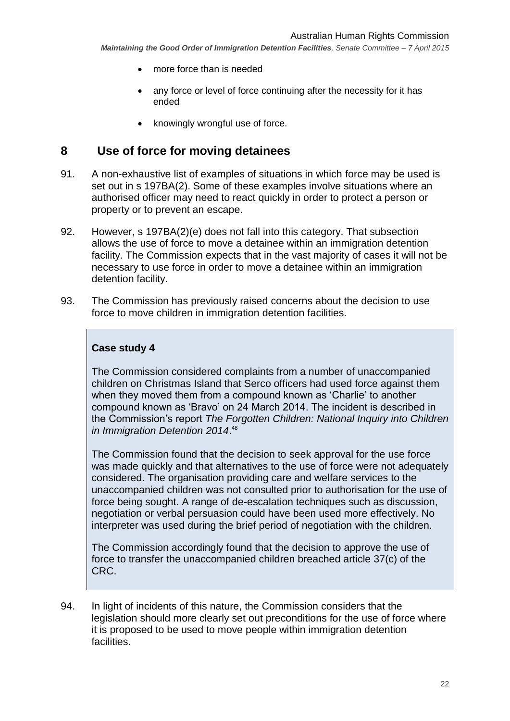- more force than is needed
- any force or level of force continuing after the necessity for it has ended
- knowingly wrongful use of force.

## <span id="page-21-0"></span>**8 Use of force for moving detainees**

- 91. A non-exhaustive list of examples of situations in which force may be used is set out in s 197BA(2). Some of these examples involve situations where an authorised officer may need to react quickly in order to protect a person or property or to prevent an escape.
- 92. However, s 197BA(2)(e) does not fall into this category. That subsection allows the use of force to move a detainee within an immigration detention facility. The Commission expects that in the vast majority of cases it will not be necessary to use force in order to move a detainee within an immigration detention facility.
- 93. The Commission has previously raised concerns about the decision to use force to move children in immigration detention facilities.

#### **Case study 4**

The Commission considered complaints from a number of unaccompanied children on Christmas Island that Serco officers had used force against them when they moved them from a compound known as 'Charlie' to another compound known as 'Bravo' on 24 March 2014. The incident is described in the Commission's report *The Forgotten Children: National Inquiry into Children in Immigration Detention 2014*. 48

The Commission found that the decision to seek approval for the use force was made quickly and that alternatives to the use of force were not adequately considered. The organisation providing care and welfare services to the unaccompanied children was not consulted prior to authorisation for the use of force being sought. A range of de-escalation techniques such as discussion, negotiation or verbal persuasion could have been used more effectively. No interpreter was used during the brief period of negotiation with the children.

The Commission accordingly found that the decision to approve the use of force to transfer the unaccompanied children breached article 37(c) of the CRC.

94. In light of incidents of this nature, the Commission considers that the legislation should more clearly set out preconditions for the use of force where it is proposed to be used to move people within immigration detention facilities.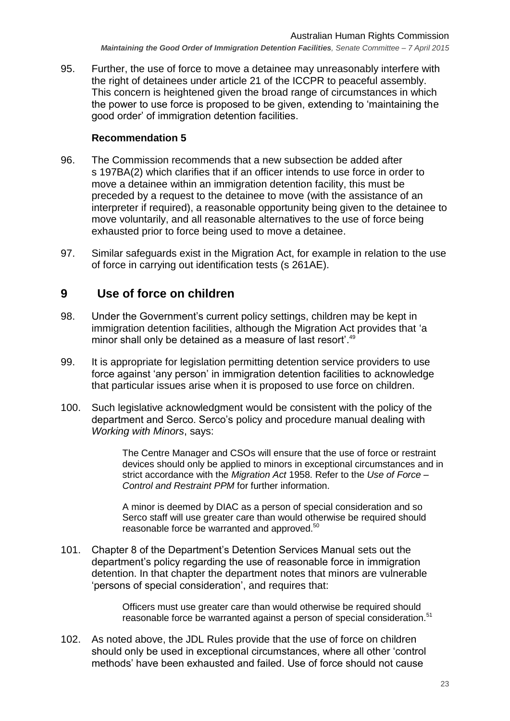95. Further, the use of force to move a detainee may unreasonably interfere with the right of detainees under article 21 of the ICCPR to peaceful assembly. This concern is heightened given the broad range of circumstances in which the power to use force is proposed to be given, extending to 'maintaining the good order' of immigration detention facilities.

#### **Recommendation 5**

- 96. The Commission recommends that a new subsection be added after s 197BA(2) which clarifies that if an officer intends to use force in order to move a detainee within an immigration detention facility, this must be preceded by a request to the detainee to move (with the assistance of an interpreter if required), a reasonable opportunity being given to the detainee to move voluntarily, and all reasonable alternatives to the use of force being exhausted prior to force being used to move a detainee.
- 97. Similar safeguards exist in the Migration Act, for example in relation to the use of force in carrying out identification tests (s 261AE).

## <span id="page-22-0"></span>**9 Use of force on children**

- 98. Under the Government's current policy settings, children may be kept in immigration detention facilities, although the Migration Act provides that 'a minor shall only be detained as a measure of last resort'.<sup>49</sup>
- 99. It is appropriate for legislation permitting detention service providers to use force against 'any person' in immigration detention facilities to acknowledge that particular issues arise when it is proposed to use force on children.
- 100. Such legislative acknowledgment would be consistent with the policy of the department and Serco. Serco's policy and procedure manual dealing with *Working with Minors*, says:

The Centre Manager and CSOs will ensure that the use of force or restraint devices should only be applied to minors in exceptional circumstances and in strict accordance with the *Migration Act* 1958. Refer to the *Use of Force – Control and Restraint PPM* for further information.

A minor is deemed by DIAC as a person of special consideration and so Serco staff will use greater care than would otherwise be required should reasonable force be warranted and approved.<sup>50</sup>

101. Chapter 8 of the Department's Detention Services Manual sets out the department's policy regarding the use of reasonable force in immigration detention. In that chapter the department notes that minors are vulnerable 'persons of special consideration', and requires that:

> Officers must use greater care than would otherwise be required should reasonable force be warranted against a person of special consideration.<sup>51</sup>

102. As noted above, the JDL Rules provide that the use of force on children should only be used in exceptional circumstances, where all other 'control methods' have been exhausted and failed. Use of force should not cause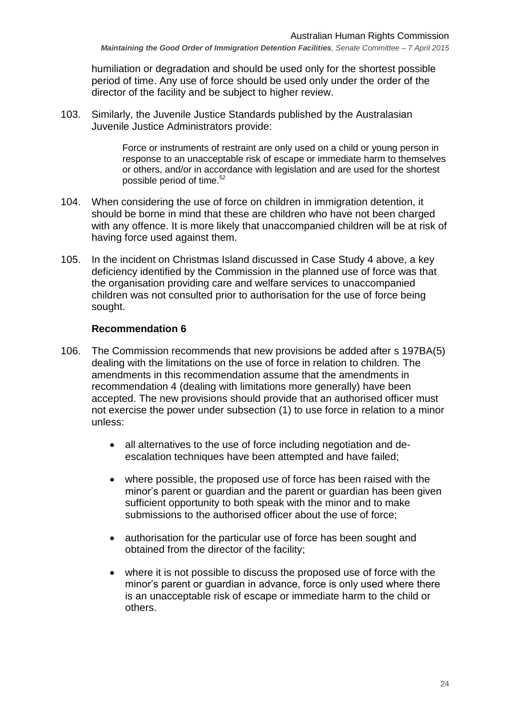humiliation or degradation and should be used only for the shortest possible period of time. Any use of force should be used only under the order of the director of the facility and be subject to higher review.

103. Similarly, the Juvenile Justice Standards published by the Australasian Juvenile Justice Administrators provide:

> Force or instruments of restraint are only used on a child or young person in response to an unacceptable risk of escape or immediate harm to themselves or others, and/or in accordance with legislation and are used for the shortest possible period of time.<sup>52</sup>

- 104. When considering the use of force on children in immigration detention, it should be borne in mind that these are children who have not been charged with any offence. It is more likely that unaccompanied children will be at risk of having force used against them.
- 105. In the incident on Christmas Island discussed in Case Study 4 above, a key deficiency identified by the Commission in the planned use of force was that the organisation providing care and welfare services to unaccompanied children was not consulted prior to authorisation for the use of force being sought.

#### **Recommendation 6**

- 106. The Commission recommends that new provisions be added after s 197BA(5) dealing with the limitations on the use of force in relation to children. The amendments in this recommendation assume that the amendments in recommendation 4 (dealing with limitations more generally) have been accepted. The new provisions should provide that an authorised officer must not exercise the power under subsection (1) to use force in relation to a minor unless:
	- all alternatives to the use of force including negotiation and deescalation techniques have been attempted and have failed;
	- where possible, the proposed use of force has been raised with the minor's parent or guardian and the parent or guardian has been given sufficient opportunity to both speak with the minor and to make submissions to the authorised officer about the use of force;
	- authorisation for the particular use of force has been sought and obtained from the director of the facility;
	- where it is not possible to discuss the proposed use of force with the minor's parent or guardian in advance, force is only used where there is an unacceptable risk of escape or immediate harm to the child or others.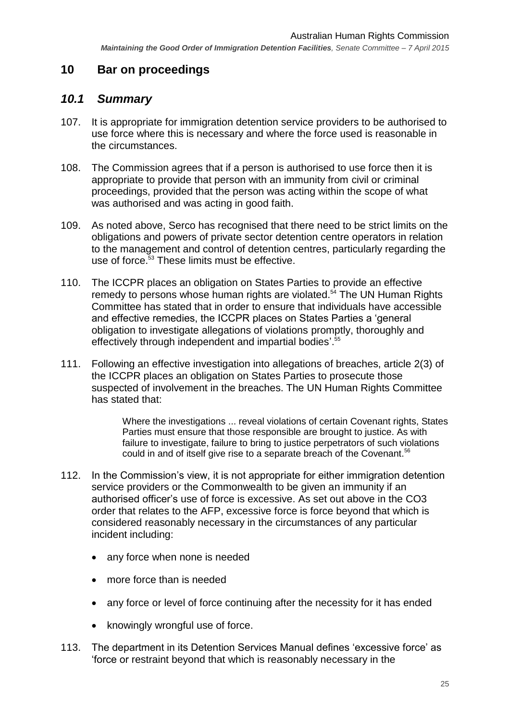## <span id="page-24-0"></span>**10 Bar on proceedings**

## <span id="page-24-1"></span>*10.1 Summary*

- 107. It is appropriate for immigration detention service providers to be authorised to use force where this is necessary and where the force used is reasonable in the circumstances.
- 108. The Commission agrees that if a person is authorised to use force then it is appropriate to provide that person with an immunity from civil or criminal proceedings, provided that the person was acting within the scope of what was authorised and was acting in good faith.
- 109. As noted above, Serco has recognised that there need to be strict limits on the obligations and powers of private sector detention centre operators in relation to the management and control of detention centres, particularly regarding the use of force.<sup>53</sup> These limits must be effective.
- 110. The ICCPR places an obligation on States Parties to provide an effective remedy to persons whose human rights are violated. <sup>54</sup> The UN Human Rights Committee has stated that in order to ensure that individuals have accessible and effective remedies, the ICCPR places on States Parties a 'general obligation to investigate allegations of violations promptly, thoroughly and effectively through independent and impartial bodies'. 55
- 111. Following an effective investigation into allegations of breaches, article 2(3) of the ICCPR places an obligation on States Parties to prosecute those suspected of involvement in the breaches. The UN Human Rights Committee has stated that:

Where the investigations ... reveal violations of certain Covenant rights, States Parties must ensure that those responsible are brought to justice. As with failure to investigate, failure to bring to justice perpetrators of such violations could in and of itself give rise to a separate breach of the Covenant.<sup>56</sup>

- 112. In the Commission's view, it is not appropriate for either immigration detention service providers or the Commonwealth to be given an immunity if an authorised officer's use of force is excessive. As set out above in the CO3 order that relates to the AFP, excessive force is force beyond that which is considered reasonably necessary in the circumstances of any particular incident including:
	- any force when none is needed
	- more force than is needed
	- any force or level of force continuing after the necessity for it has ended
	- knowingly wrongful use of force.
- 113. The department in its Detention Services Manual defines 'excessive force' as 'force or restraint beyond that which is reasonably necessary in the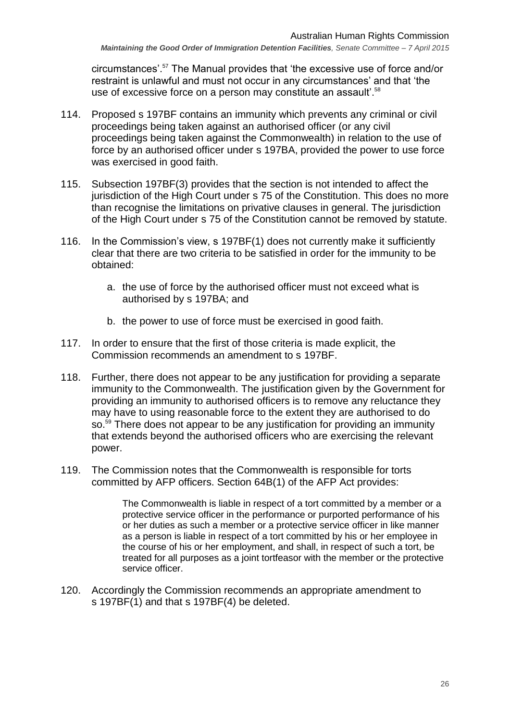circumstances'.<sup>57</sup> The Manual provides that 'the excessive use of force and/or restraint is unlawful and must not occur in any circumstances' and that 'the use of excessive force on a person may constitute an assault'.<sup>58</sup>

- 114. Proposed s 197BF contains an immunity which prevents any criminal or civil proceedings being taken against an authorised officer (or any civil proceedings being taken against the Commonwealth) in relation to the use of force by an authorised officer under s 197BA, provided the power to use force was exercised in good faith.
- 115. Subsection 197BF(3) provides that the section is not intended to affect the jurisdiction of the High Court under s 75 of the Constitution. This does no more than recognise the limitations on privative clauses in general. The jurisdiction of the High Court under s 75 of the Constitution cannot be removed by statute.
- 116. In the Commission's view, s 197BF(1) does not currently make it sufficiently clear that there are two criteria to be satisfied in order for the immunity to be obtained:
	- a. the use of force by the authorised officer must not exceed what is authorised by s 197BA; and
	- b. the power to use of force must be exercised in good faith.
- 117. In order to ensure that the first of those criteria is made explicit, the Commission recommends an amendment to s 197BF.
- 118. Further, there does not appear to be any justification for providing a separate immunity to the Commonwealth. The justification given by the Government for providing an immunity to authorised officers is to remove any reluctance they may have to using reasonable force to the extent they are authorised to do so.<sup>59</sup> There does not appear to be any justification for providing an immunity that extends beyond the authorised officers who are exercising the relevant power.
- 119. The Commission notes that the Commonwealth is responsible for torts committed by AFP officers. Section 64B(1) of the AFP Act provides:

The Commonwealth is liable in respect of a tort committed by a member or a protective service officer in the performance or purported performance of his or her duties as such a member or a protective service officer in like manner as a person is liable in respect of a tort committed by his or her employee in the course of his or her employment, and shall, in respect of such a tort, be treated for all purposes as a joint tortfeasor with the member or the protective service officer.

120. Accordingly the Commission recommends an appropriate amendment to s 197BF(1) and that s 197BF(4) be deleted.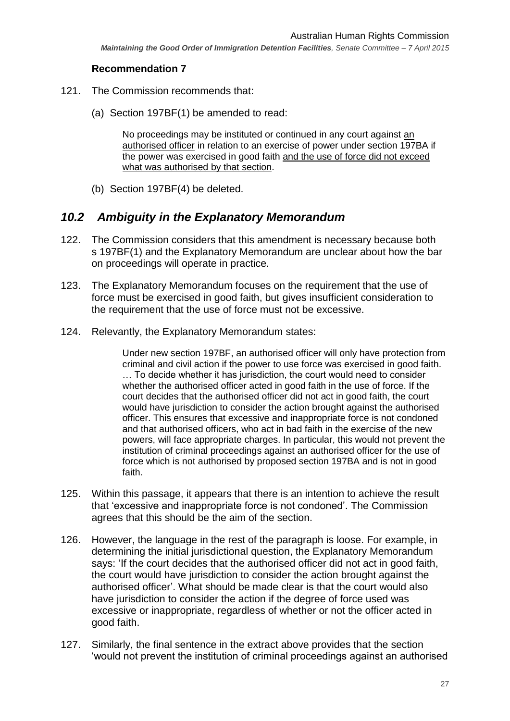#### **Recommendation 7**

- 121. The Commission recommends that:
	- (a) Section 197BF(1) be amended to read:

No proceedings may be instituted or continued in any court against an authorised officer in relation to an exercise of power under section 197BA if the power was exercised in good faith and the use of force did not exceed what was authorised by that section.

(b) Section 197BF(4) be deleted.

# <span id="page-26-0"></span>*10.2 Ambiguity in the Explanatory Memorandum*

- 122. The Commission considers that this amendment is necessary because both s 197BF(1) and the Explanatory Memorandum are unclear about how the bar on proceedings will operate in practice.
- 123. The Explanatory Memorandum focuses on the requirement that the use of force must be exercised in good faith, but gives insufficient consideration to the requirement that the use of force must not be excessive.
- 124. Relevantly, the Explanatory Memorandum states:

Under new section 197BF, an authorised officer will only have protection from criminal and civil action if the power to use force was exercised in good faith. … To decide whether it has jurisdiction, the court would need to consider whether the authorised officer acted in good faith in the use of force. If the court decides that the authorised officer did not act in good faith, the court would have jurisdiction to consider the action brought against the authorised officer. This ensures that excessive and inappropriate force is not condoned and that authorised officers, who act in bad faith in the exercise of the new powers, will face appropriate charges. In particular, this would not prevent the institution of criminal proceedings against an authorised officer for the use of force which is not authorised by proposed section 197BA and is not in good faith.

- 125. Within this passage, it appears that there is an intention to achieve the result that 'excessive and inappropriate force is not condoned'. The Commission agrees that this should be the aim of the section.
- 126. However, the language in the rest of the paragraph is loose. For example, in determining the initial jurisdictional question, the Explanatory Memorandum says: 'If the court decides that the authorised officer did not act in good faith, the court would have jurisdiction to consider the action brought against the authorised officer'. What should be made clear is that the court would also have jurisdiction to consider the action if the degree of force used was excessive or inappropriate, regardless of whether or not the officer acted in good faith.
- 127. Similarly, the final sentence in the extract above provides that the section 'would not prevent the institution of criminal proceedings against an authorised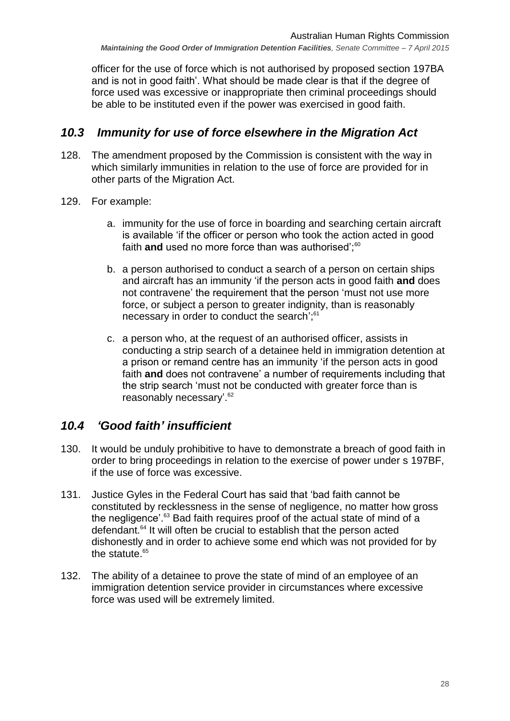officer for the use of force which is not authorised by proposed section 197BA and is not in good faith'. What should be made clear is that if the degree of force used was excessive or inappropriate then criminal proceedings should be able to be instituted even if the power was exercised in good faith.

## <span id="page-27-0"></span>*10.3 Immunity for use of force elsewhere in the Migration Act*

- 128. The amendment proposed by the Commission is consistent with the way in which similarly immunities in relation to the use of force are provided for in other parts of the Migration Act.
- 129. For example:
	- a. immunity for the use of force in boarding and searching certain aircraft is available 'if the officer or person who took the action acted in good faith and used no more force than was authorised':<sup>60</sup>
	- b. a person authorised to conduct a search of a person on certain ships and aircraft has an immunity 'if the person acts in good faith **and** does not contravene' the requirement that the person 'must not use more force, or subject a person to greater indignity, than is reasonably necessary in order to conduct the search<sup>':61</sup>
	- c. a person who, at the request of an authorised officer, assists in conducting a strip search of a detainee held in immigration detention at a prison or remand centre has an immunity 'if the person acts in good faith **and** does not contravene' a number of requirements including that the strip search 'must not be conducted with greater force than is reasonably necessary'.<sup>62</sup>

# <span id="page-27-1"></span>*10.4 'Good faith' insufficient*

- 130. It would be unduly prohibitive to have to demonstrate a breach of good faith in order to bring proceedings in relation to the exercise of power under s 197BF, if the use of force was excessive.
- 131. Justice Gyles in the Federal Court has said that 'bad faith cannot be constituted by recklessness in the sense of negligence, no matter how gross the negligence'.<sup>63</sup> Bad faith requires proof of the actual state of mind of a defendant.<sup>64</sup> It will often be crucial to establish that the person acted dishonestly and in order to achieve some end which was not provided for by the statute. $65$
- 132. The ability of a detainee to prove the state of mind of an employee of an immigration detention service provider in circumstances where excessive force was used will be extremely limited.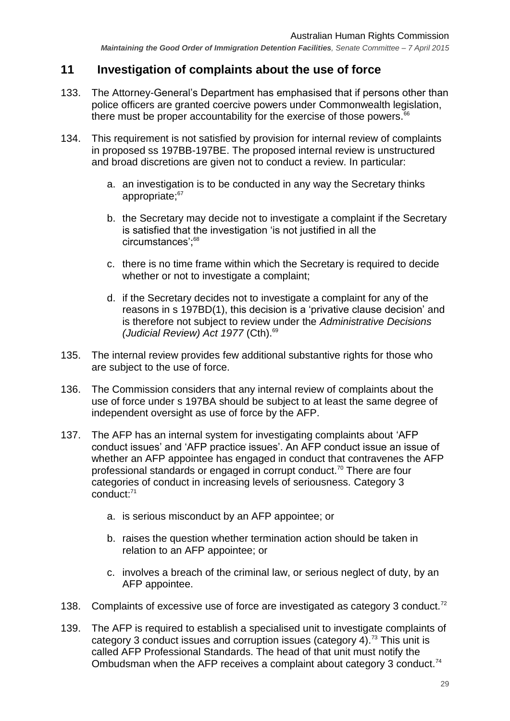# <span id="page-28-0"></span>**11 Investigation of complaints about the use of force**

- 133. The Attorney-General's Department has emphasised that if persons other than police officers are granted coercive powers under Commonwealth legislation, there must be proper accountability for the exercise of those powers. $66$
- 134. This requirement is not satisfied by provision for internal review of complaints in proposed ss 197BB-197BE. The proposed internal review is unstructured and broad discretions are given not to conduct a review. In particular:
	- a. an investigation is to be conducted in any way the Secretary thinks appropriate;<sup>67</sup>
	- b. the Secretary may decide not to investigate a complaint if the Secretary is satisfied that the investigation 'is not justified in all the circumstances';<sup>68</sup>
	- c. there is no time frame within which the Secretary is required to decide whether or not to investigate a complaint;
	- d. if the Secretary decides not to investigate a complaint for any of the reasons in s 197BD(1), this decision is a 'privative clause decision' and is therefore not subject to review under the *Administrative Decisions (Judicial Review) Act 1977 (Cth).<sup>69</sup>*
- 135. The internal review provides few additional substantive rights for those who are subject to the use of force.
- 136. The Commission considers that any internal review of complaints about the use of force under s 197BA should be subject to at least the same degree of independent oversight as use of force by the AFP.
- 137. The AFP has an internal system for investigating complaints about 'AFP conduct issues' and 'AFP practice issues'. An AFP conduct issue an issue of whether an AFP appointee has engaged in conduct that contravenes the AFP professional standards or engaged in corrupt conduct.<sup>70</sup> There are four categories of conduct in increasing levels of seriousness. Category 3 conduct: 71
	- a. is serious misconduct by an AFP appointee; or
	- b. raises the question whether termination action should be taken in relation to an AFP appointee; or
	- c. involves a breach of the criminal law, or serious neglect of duty, by an AFP appointee.
- 138. Complaints of excessive use of force are investigated as category 3 conduct.<sup>72</sup>
- 139. The AFP is required to establish a specialised unit to investigate complaints of category 3 conduct issues and corruption issues (category 4).<sup>73</sup> This unit is called AFP Professional Standards. The head of that unit must notify the Ombudsman when the AFP receives a complaint about category 3 conduct.<sup>74</sup>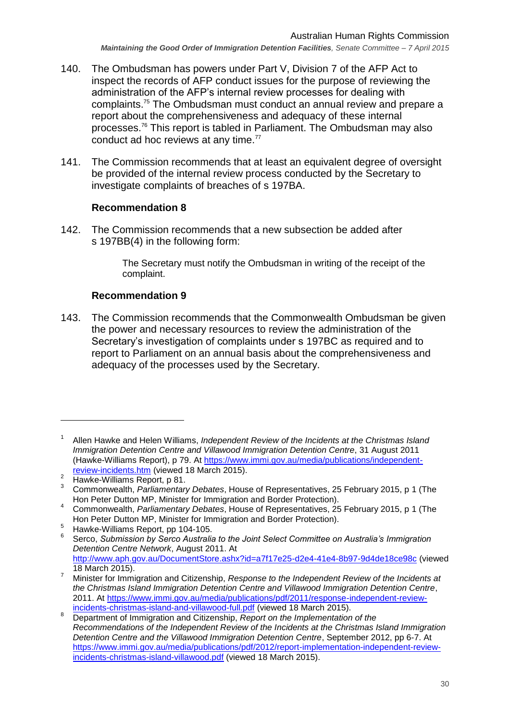- 140. The Ombudsman has powers under Part V, Division 7 of the AFP Act to inspect the records of AFP conduct issues for the purpose of reviewing the administration of the AFP's internal review processes for dealing with complaints.<sup>75</sup> The Ombudsman must conduct an annual review and prepare a report about the comprehensiveness and adequacy of these internal processes.<sup>76</sup> This report is tabled in Parliament. The Ombudsman may also conduct ad hoc reviews at any time.<sup>77</sup>
- 141. The Commission recommends that at least an equivalent degree of oversight be provided of the internal review process conducted by the Secretary to investigate complaints of breaches of s 197BA.

#### **Recommendation 8**

142. The Commission recommends that a new subsection be added after s 197BB(4) in the following form:

> The Secretary must notify the Ombudsman in writing of the receipt of the complaint.

## **Recommendation 9**

143. The Commission recommends that the Commonwealth Ombudsman be given the power and necessary resources to review the administration of the Secretary's investigation of complaints under s 197BC as required and to report to Parliament on an annual basis about the comprehensiveness and adequacy of the processes used by the Secretary.

<sup>1</sup> Allen Hawke and Helen Williams, *Independent Review of the Incidents at the Christmas Island Immigration Detention Centre and Villawood Immigration Detention Centre*, 31 August 2011 (Hawke-Williams Report), p 79. At [https://www.immi.gov.au/media/publications/independent](https://www.immi.gov.au/media/publications/independent-review-incidents.htm)[review-incidents.htm](https://www.immi.gov.au/media/publications/independent-review-incidents.htm) (viewed 18 March 2015).

<sup>&</sup>lt;sup>2</sup> Hawke-Williams Report, p 81.

<sup>3</sup> Commonwealth, *Parliamentary Debates*, House of Representatives, 25 February 2015, p 1 (The Hon Peter Dutton MP, Minister for Immigration and Border Protection).

<sup>4</sup> Commonwealth, *Parliamentary Debates*, House of Representatives, 25 February 2015, p 1 (The Hon Peter Dutton MP, Minister for Immigration and Border Protection).

<sup>5</sup> Hawke-Williams Report, pp 104-105.

<sup>6</sup> Serco, *Submission by Serco Australia to the Joint Select Committee on Australia's Immigration Detention Centre Network*, August 2011. At <http://www.aph.gov.au/DocumentStore.ashx?id=a7f17e25-d2e4-41e4-8b97-9d4de18ce98c> (viewed 18 March 2015).

<sup>7</sup> Minister for Immigration and Citizenship, *Response to the Independent Review of the Incidents at the Christmas Island Immigration Detention Centre and Villawood Immigration Detention Centre*, 2011. At [https://www.immi.gov.au/media/publications/pdf/2011/response-independent-review](https://www.immi.gov.au/media/publications/pdf/2011/response-independent-review-incidents-christmas-island-and-villawood-full.pdf)[incidents-christmas-island-and-villawood-full.pdf](https://www.immi.gov.au/media/publications/pdf/2011/response-independent-review-incidents-christmas-island-and-villawood-full.pdf) (viewed 18 March 2015).

<sup>8</sup> Department of Immigration and Citizenship, *Report on the Implementation of the Recommendations of the Independent Review of the Incidents at the Christmas Island Immigration Detention Centre and the Villawood Immigration Detention Centre*, September 2012, pp 6-7. At [https://www.immi.gov.au/media/publications/pdf/2012/report-implementation-independent-review](https://www.immi.gov.au/media/publications/pdf/2012/report-implementation-independent-review-incidents-christmas-island-villawood.pdf)[incidents-christmas-island-villawood.pdf](https://www.immi.gov.au/media/publications/pdf/2012/report-implementation-independent-review-incidents-christmas-island-villawood.pdf) (viewed 18 March 2015).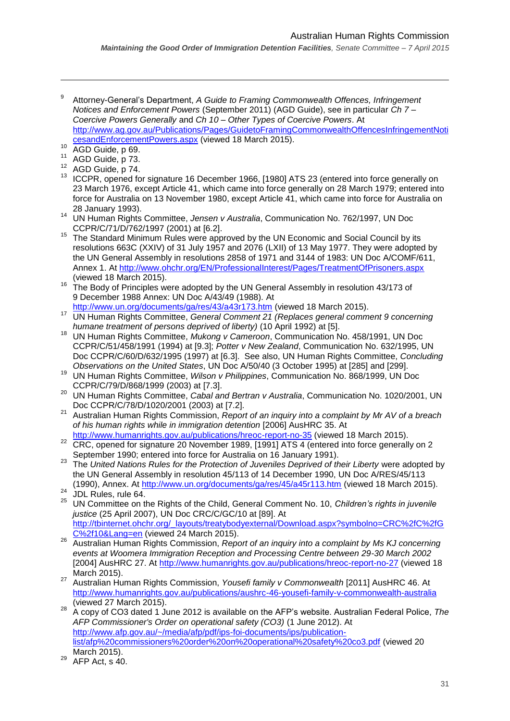*Maintaining the Good Order of Immigration Detention Facilities, Senate Committee – 7 April 2015*

- 9 Attorney-General's Department, *A Guide to Framing Commonwealth Offences, Infringement Notices and Enforcement Powers* (September 2011) (AGD Guide), see in particular *Ch 7 – Coercive Powers Generally* and *Ch 10 – Other Types of Coercive Powers*. At [http://www.ag.gov.au/Publications/Pages/GuidetoFramingCommonwealthOffencesInfringementNoti](http://www.ag.gov.au/Publications/Pages/GuidetoFramingCommonwealthOffencesInfringementNoticesandEnforcementPowers.aspx) [cesandEnforcementPowers.aspx](http://www.ag.gov.au/Publications/Pages/GuidetoFramingCommonwealthOffencesInfringementNoticesandEnforcementPowers.aspx) (viewed 18 March 2015).
- $10$  AGD Guide, p 69.

- $^{11}$  AGD Guide, p 73.
- AGD Guide, p 74.
- <sup>13</sup> ICCPR, opened for signature 16 December 1966, [1980] ATS 23 (entered into force generally on 23 March 1976, except Article 41, which came into force generally on 28 March 1979; entered into force for Australia on 13 November 1980, except Article 41, which came into force for Australia on 28 January 1993).
- <sup>14</sup> UN Human Rights Committee, *Jensen v Australia*, Communication No. 762/1997, UN Doc CCPR/C/71/D/762/1997 (2001) at [6.2].
- <sup>15</sup> The Standard Minimum Rules were approved by the UN Economic and Social Council by its resolutions 663C (XXIV) of 31 July 1957 and 2076 (LXII) of 13 May 1977. They were adopted by the UN General Assembly in resolutions 2858 of 1971 and 3144 of 1983: UN Doc A/COMF/611, Annex 1. At<http://www.ohchr.org/EN/ProfessionalInterest/Pages/TreatmentOfPrisoners.aspx> (viewed 18 March 2015).
- <sup>16</sup> The Body of Principles were adopted by the UN General Assembly in resolution 43/173 of 9 December 1988 Annex: UN Doc A/43/49 (1988). At
- <http://www.un.org/documents/ga/res/43/a43r173.htm> (viewed 18 March 2015). <sup>17</sup> UN Human Rights Committee, *General Comment 21 (Replaces general comment 9 concerning humane treatment of persons deprived of liberty)* (10 April 1992) at [5].
- <sup>18</sup> UN Human Rights Committee, *Mukong v Cameroon*, Communication No. 458/1991, UN Doc CCPR/C/51/458/1991 (1994) at [9.3]; *Potter v New Zealand*, Communication No. 632/1995, UN Doc CCPR/C/60/D/632/1995 (1997) at [6.3]. See also, UN Human Rights Committee, *Concluding Observations on the United States*, UN Doc A/50/40 (3 October 1995) at [285] and [299].
- <sup>19</sup> UN Human Rights Committee, *Wilson v Philippines*, Communication No. 868/1999, UN Doc CCPR/C/79/D/868/1999 (2003) at [7.3].
- <sup>20</sup> UN Human Rights Committee, *Cabal and Bertran v Australia*, Communication No. 1020/2001, UN Doc CCPR/C/78/D/1020/2001 (2003) at [7.2].
- <sup>21</sup> Australian Human Rights Commission, *Report of an inquiry into a complaint by Mr AV of a breach of his human rights while in immigration detention* [2006] AusHRC 35. At <http://www.humanrights.gov.au/publications/hreoc-report-no-35> (viewed 18 March 2015).
- <sup>22</sup> CRC, opened for signature 20 November 1989, [1991] ATS 4 (entered into force generally on 2 September 1990; entered into force for Australia on 16 January 1991).
- <sup>23</sup> The *United Nations Rules for the Protection of Juveniles Deprived of their Liberty* were adopted by the UN General Assembly in resolution 45/113 of 14 December 1990, UN Doc A/RES/45/113 (1990), Annex. At<http://www.un.org/documents/ga/res/45/a45r113.htm> (viewed 18 March 2015).
- <sup>24</sup> JDL Rules, rule 64. <sup>25</sup> UN Committee on the Rights of the Child, General Comment No. 10, *Children's rights in juvenile justice* (25 April 2007), UN Doc CRC/C/GC/10 at [89]. At [http://tbinternet.ohchr.org/\\_layouts/treatybodyexternal/Download.aspx?symbolno=CRC%2fC%2fG](http://tbinternet.ohchr.org/_layouts/treatybodyexternal/Download.aspx?symbolno=CRC%2fC%2fGC%2f10&Lang=en) [C%2f10&Lang=en](http://tbinternet.ohchr.org/_layouts/treatybodyexternal/Download.aspx?symbolno=CRC%2fC%2fGC%2f10&Lang=en) (viewed 24 March 2015).
- <sup>26</sup> Australian Human Rights Commission, *Report of an inquiry into a complaint by Ms KJ concerning events at Woomera Immigration Reception and Processing Centre between 29-30 March 2002* [2004] AusHRC 27. At<http://www.humanrights.gov.au/publications/hreoc-report-no-27> (viewed 18 March 2015).
- <sup>27</sup> Australian Human Rights Commission, *Yousefi family v Commonwealth* [2011] AusHRC 46. At <http://www.humanrights.gov.au/publications/aushrc-46-yousefi-family-v-commonwealth-australia> (viewed 27 March 2015).
- <sup>28</sup> A copy of CO3 dated 1 June 2012 is available on the AFP's website. Australian Federal Police, *The AFP Commissioner's Order on operational safety (CO3)* (1 June 2012). At [http://www.afp.gov.au/~/media/afp/pdf/ips-foi-documents/ips/publication](http://www.afp.gov.au/~/media/afp/pdf/ips-foi-documents/ips/publication-list/afp%20commissioners%20order%20on%20operational%20safety%20co3.pdf)[list/afp%20commissioners%20order%20on%20operational%20safety%20co3.pdf](http://www.afp.gov.au/~/media/afp/pdf/ips-foi-documents/ips/publication-list/afp%20commissioners%20order%20on%20operational%20safety%20co3.pdf) (viewed 20 March 2015).
- $AFP$  Act, s 40.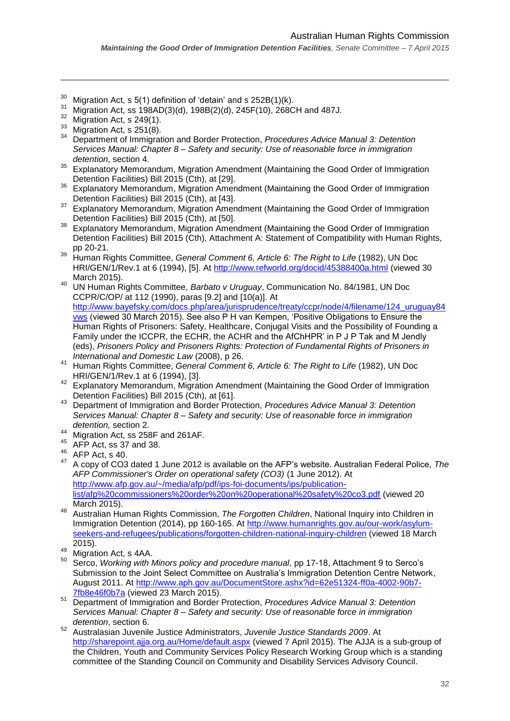- <sup>30</sup> Migration Act, s 5(1) definition of 'detain' and s  $252B(1)(k)$ .
- <sup>31</sup> Migration Act, ss 198AD(3)(d), 198B(2)(d), 245F(10), 268CH and 487J.
- $32$  Migration Act, s 249(1).

- $\frac{33}{34}$  Migration Act, s 251(8).
- <sup>34</sup> Department of Immigration and Border Protection, *Procedures Advice Manual 3: Detention Services Manual: Chapter 8 – Safety and security: Use of reasonable force in immigration detention*, section 4.
- <sup>35</sup> Explanatory Memorandum, Migration Amendment (Maintaining the Good Order of Immigration Detention Facilities) Bill 2015 (Cth), at [29].
- <sup>36</sup> Explanatory Memorandum, Migration Amendment (Maintaining the Good Order of Immigration Detention Facilities) Bill 2015 (Cth), at [43].
- Explanatory Memorandum, Migration Amendment (Maintaining the Good Order of Immigration Detention Facilities) Bill 2015 (Cth), at [50].
- <sup>38</sup> Explanatory Memorandum, Migration Amendment (Maintaining the Good Order of Immigration Detention Facilities) Bill 2015 (Cth), Attachment A: Statement of Compatibility with Human Rights, pp 20-21.
- <sup>39</sup> Human Rights Committee, *General Comment 6, Article 6: The Right to Life* (1982), UN Doc HRI/GEN/1/Rev.1 at 6 (1994), [5]. At<http://www.refworld.org/docid/45388400a.html> (viewed 30 March 2015).
- <sup>40</sup> UN Human Rights Committee, *Barbato v Uruguay*, Communication No. 84/1981, UN Doc CCPR/C/OP/ at 112 (1990), paras [9.2] and [10(a)]. At [http://www.bayefsky.com/docs.php/area/jurisprudence/treaty/ccpr/node/4/filename/124\\_uruguay84](http://www.bayefsky.com/docs.php/area/jurisprudence/treaty/ccpr/node/4/filename/124_uruguay84vws) [vws](http://www.bayefsky.com/docs.php/area/jurisprudence/treaty/ccpr/node/4/filename/124_uruguay84vws) (viewed 30 March 2015). See also P H van Kempen, 'Positive Obligations to Ensure the Human Rights of Prisoners: Safety, Healthcare, Conjugal Visits and the Possibility of Founding a Family under the ICCPR, the ECHR, the ACHR and the AfChHPR' in P J P Tak and M Jendly (eds), *Prisoners Policy and Prisoners Rights: Protection of Fundamental Rights of Prisoners in International and Domestic Law* (2008), p 26.
- <sup>41</sup> Human Rights Committee, *General Comment 6, Article 6: The Right to Life* (1982), UN Doc HRI/GEN/1/Rev.1 at 6 (1994), [3].
- <sup>42</sup> Explanatory Memorandum, Migration Amendment (Maintaining the Good Order of Immigration Detention Facilities) Bill 2015 (Cth), at [61].
- <sup>43</sup> Department of Immigration and Border Protection, *Procedures Advice Manual 3: Detention Services Manual: Chapter 8 – Safety and security: Use of reasonable force in immigration detention,* section 2.
- 44 Migration Act, ss 258F and 261AF.
- $45$  AFP Act, ss 37 and 38.
- $^{46}_{47}$  AFP Act, s 40.
- <sup>47</sup> A copy of CO3 dated 1 June 2012 is available on the AFP's website. Australian Federal Police, *The AFP Commissioner's Order on operational safety (CO3)* (1 June 2012). At [http://www.afp.gov.au/~/media/afp/pdf/ips-foi-documents/ips/publication](http://www.afp.gov.au/~/media/afp/pdf/ips-foi-documents/ips/publication-list/afp%20commissioners%20order%20on%20operational%20safety%20co3.pdf)[list/afp%20commissioners%20order%20on%20operational%20safety%20co3.pdf](http://www.afp.gov.au/~/media/afp/pdf/ips-foi-documents/ips/publication-list/afp%20commissioners%20order%20on%20operational%20safety%20co3.pdf) (viewed 20 March 2015).
- <sup>48</sup> Australian Human Rights Commission, *The Forgotten Children*, National Inquiry into Children in Immigration Detention (2014), pp 160-165. At [http://www.humanrights.gov.au/our-work/asylum](http://www.humanrights.gov.au/our-work/asylum-seekers-and-refugees/publications/forgotten-children-national-inquiry-children)[seekers-and-refugees/publications/forgotten-children-national-inquiry-children](http://www.humanrights.gov.au/our-work/asylum-seekers-and-refugees/publications/forgotten-children-national-inquiry-children) (viewed 18 March 2015).
- $^{49}$  Migration Act, s 4AA.
- <sup>50</sup> Serco, *Working with Minors policy and procedure manual*, pp 17-18, Attachment 9 to Serco's Submission to the Joint Select Committee on Australia's Immigration Detention Centre Network, August 2011. At [http://www.aph.gov.au/DocumentStore.ashx?id=62e51324-ff0a-4002-90b7-](http://www.aph.gov.au/DocumentStore.ashx?id=62e51324-ff0a-4002-90b7-7fb8e46f0b7a) [7fb8e46f0b7a](http://www.aph.gov.au/DocumentStore.ashx?id=62e51324-ff0a-4002-90b7-7fb8e46f0b7a) (viewed 23 March 2015).
- <sup>51</sup> Department of Immigration and Border Protection, *Procedures Advice Manual 3: Detention Services Manual: Chapter 8 – Safety and security: Use of reasonable force in immigration detention*, section 6.
- <sup>52</sup> Australasian Juvenile Justice Administrators, *Juvenile Justice Standards 2009*. At <http://sharepoint.ajja.org.au/Home/default.aspx> (viewed 7 April 2015). The AJJA is a sub-group of the Children, Youth and Community Services Policy Research Working Group which is a standing committee of the Standing Council on Community and Disability Services Advisory Council.

*Maintaining the Good Order of Immigration Detention Facilities, Senate Committee – 7 April 2015*